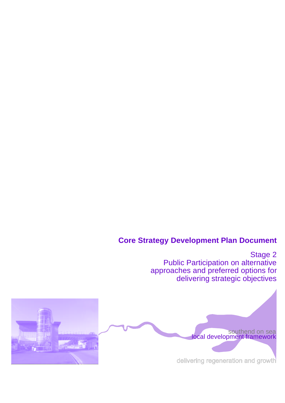# **Core Strategy Development Plan Document**

Stage 2 Public Participation on alternative approaches and preferred options for delivering strategic objectives

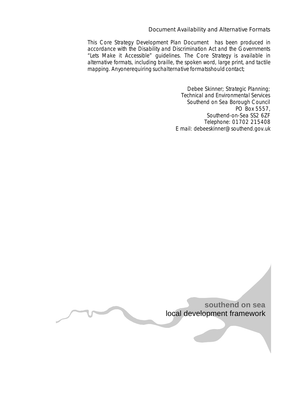#### Document Availability and Alternative Formats

This Core Strategy Development Plan Document has been produced in accordance with the Disability and Discrimination Act and the Governments "Lets Make it Accessible" guidelines. The Core Strategy is available in alternative formats, including braille, the spoken word, large print, and tactile mapping. Anyonerequiring suchalternative formatsshould contact;

> Debee Skinner; Strategic Planning; Technical and Environmental Services Southend on Sea Borough Council PO Box 5557, Southend-on-Sea SS2 6ZF Telephone: 01702 215408 E mail: debeeskinner@southend.gov.uk

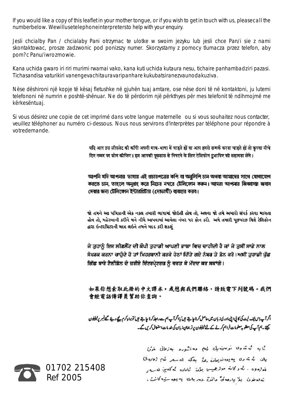If you would like a copy of this leaflet in your mother tongue, or if you wish to get in touch with us, pleasecall the numberbelow. Wewillusetelephoneinterpretersto help with your enquiry.

Jesli chcialby Pan / chcialaby Pani otrzymac te ulotke w swoim jezyku lub jesli chce Pan/i sie z nami skontaktowac, prosze zadzwonic pod ponizszy numer. Skorzystamy z pomocy tlumacza przez telefon, aby pom?c Panu/iwrozmowie.

Kana uchida gwaro iri riri murimi rwamai vako, kana kuti uchida kutaura nesu, tichaire panhambadziri pazasi. Tichasandisa vaturikiri vanengevachitauravaripanhare kukubatsiranezvaunodakuziva.

Nëse dëshironi një kopje të kësaj fletushke në gjuhën tuaj amtare, ose nëse doni të në kontaktoni, ju lutemi telefononi në numrin e poshtë-shënuar. Ne do të përdorim një përkthyes për mes telefonit të ndihmojmë me kërkesëntuaj.

Si vous désirez une copie de cet imprimé dans votre langue maternelle ou si vous souhaitez nous contacter, veuillez téléphoner au numéro ci-dessous. Nous nous servirons d'interprètes par téléphone pour répondre à votredemande.

> यदि आप इस लीफ्लेट की कॉपी अपनी मात्र-भाषा में चाहते हों या आप हमसे सम्पर्क करना चाहते हों तो कृपया नीचे दिए नम्बर पर फ़ोन कीजिए। इस आपकी पूछताछ से निपटने के लिए टेलिफोन दुशापिए की सहायता लेंगे।

> আপনি যদি আপনার ভাষায় এই প্রচারপত্রের কপি বা অনুলিপি চান অথবা আমাদের সাথে যোগাযোগ করতে চান, তাহলে অনুগ্রহ করে নিচের নস্বরে টেলিফোন করুন। আমরা আপনার জিজ্ঞাসয় জবাব দেবার জন্য টেলিফোন ইন্টারপ্রিটার (দোভাষী) ব্যবহার করব।

> જો તમને આ પત્રિકાની એક નકલ તમારી ભાષામાં જોઈતી હોય તો. અથવા જો તમે અમારો સંપર્ક કરવા માગતા હોવ તો, મહેરબાની કરીને મને નીચે આપવામાં આવેલા નંબર પર ફોન કરો. અમે તમારી પછપરછ વિશે ટેલિફોન દ્વારા ઇન્ટરપ્રિટરની મદદ લઇને તમને મદદ કરી શકશં

> ਜੇ ਤੁਹਾਨੂੰ ਇਸ ਲੀਫ਼ਲੈੱਟ ਦੀ ਕੌਪੀ ਤੁਹਾਡੀ ਆਪਣੀ ਭਾਸ਼ਾ ਵਿਚ ਚਾਹੀਦੀ ਹੈ ਜਾਂ ਜੇ ਤੁਸੀਂ ਸਾਡੇ ਨਾਲ ਸੈਪਰਕ ਕਰਨਾ ਚਾਹੋਦੇ ਹੋ ਤਾਂ ਮਿਹਰਬਾਨੀ ਕਰਕੇ ਹੇਠਾਂ ਦਿੱਤੇ ਗਏ ਨੰਬਰ ਤੇ ਫ਼ੋਨ ਕਰੋ।ਅਸੀਂ ਤਹਾਡੀ ਪੱਛ ਗਿੱਛ ਬਾਰੇ ਟੈਲੀਫ਼ੋਨ ਦੇ ਜ਼ਰੀਏ ਇੰਟਰਪੇ੍ਟਰਜ਼ ਨੂੰ ਵਰਤ ਕੇ ਮੱਦਦ ਕਰ ਸਕਾਂਗੇ।

> 如果你想索取此册的中文譯本,或想與我們聯絡,請致電下列號碼。我們 會經電話傳譯員幫助你查詢。

> اگر آپ اس لیف کیٹ کی کالی انی مادری: بان میں حاصل کرنا جاہتے ہیں یا اگر آپ ہم سے راجلہ کرنا جاہتے ہیں تو براہ کرم پیچے دیئے گھینبر پر ٹیلیفون چھے۔ہم آپ کی مطلوبہ معلومات فراہم کرنے کے لئے ٹیلیفون پرتر جمان زبان کی خدمات استعال کریں گے۔

> > ئی په شماره نوستمول لهم معاشوره به زمانی غزئ یات که ته روا په یوه نویران یی به کله اله سهر کُهم (فاره ک) لمواره وه . به و کانه موثرهمیس بیژن گیاناده که که ین له ب تەنەخرن بۇ يارەق ۋالىق دەربارى بەيوەستيەكانت .

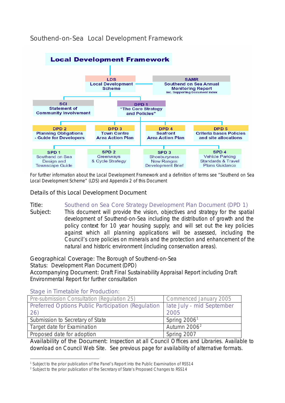### Southend-on-Sea Local Development Framework



*For further information about the Local Development Framework and a definition of terms see "Southend on Sea Local Development Scheme" (LDS) and Appendix 2 of this Document*

Details of this Local Development Document

Title: Southend on Sea Core Strategy Development Plan Document (DPD 1)

Subject: This document will provide the vision, objectives and strategy for the spatial development of Southend-on-Sea including the distribution of growth and the policy context for 10 year housing supply; and will set out the key policies against which all planning applications will be assessed, including the Council's core policies on minerals and the protection and enhancement of the natural and historic environment (including conservation areas).

Geographical Coverage: The Borough of Southend-on-Sea

Status: Development Plan Document (DPD)

Accompanying Document: Draft Final Sustainability Appraisal Report including Draft Environmental Report for further consultation

Stage in Timetable for Production:

j

| Pre-submission Consultation (Regulation 25)                                    | Commenced January 2005   |
|--------------------------------------------------------------------------------|--------------------------|
| Preferred Options Public Participation (Regulation   late July - mid September |                          |
| 26)                                                                            | 2005                     |
| Submission to Secretary of State                                               | Spring $20061$           |
| Target date for Examination                                                    | Autumn 2006 <sup>2</sup> |
| Proposed date for adoption                                                     | Spring 2007              |

Availability of the Document: Inspection at all Council Offices and Libraries. Available to download on Council Web Site. See previous page for availability of alternative formats.

<sup>&</sup>lt;sup>1</sup> Subject to the prior publication of the Panel's Report into the Public Examination of RSS14

<sup>&</sup>lt;sup>2</sup> Subject to the prior publication of the Secretary of State's Proposed Changes to RSS14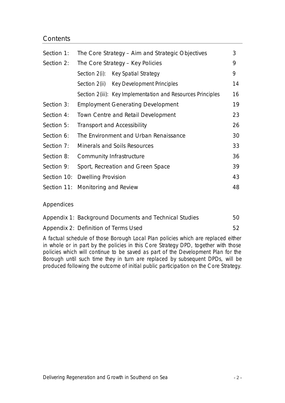### **Contents**

| Section 1: | The Core Strategy – Aim and Strategic Objectives |                                                             | 3  |
|------------|--------------------------------------------------|-------------------------------------------------------------|----|
| Section 2: |                                                  | The Core Strategy - Key Policies                            | 9  |
|            |                                                  | Section 2(i): Key Spatial Strategy                          | 9  |
|            |                                                  | Section 2(ii) Key Development Principles                    | 14 |
|            |                                                  | Section 2(iii): Key Implementation and Resources Principles | 16 |
| Section 3: |                                                  | <b>Employment Generating Development</b>                    | 19 |
| Section 4: | Town Centre and Retail Development               |                                                             | 23 |
| Section 5: | <b>Transport and Accessibility</b>               |                                                             | 26 |
| Section 6: | The Environment and Urban Renaissance            |                                                             | 30 |
| Section 7: | <b>Minerals and Soils Resources</b>              |                                                             | 33 |
| Section 8: | Community Infrastructure                         |                                                             | 36 |
| Section 9: | Sport, Recreation and Green Space                |                                                             | 39 |
|            | Section 10: Dwelling Provision                   |                                                             | 43 |
|            | Section 11: Monitoring and Review                |                                                             | 48 |

### Appendices

| Appendix 1: Background Documents and Technical Studies | 50 |
|--------------------------------------------------------|----|
| Appendix 2: Definition of Terms Used                   |    |

A factual schedule of those Borough Local Plan policies which are replaced either in whole or in part by the policies in this Core Strategy DPD, together with those policies which will continue to be saved as part of the Development Plan for the Borough until such time they in turn are replaced by subsequent DPDs, will be produced following the outcome of initial public participation on the Core Strategy.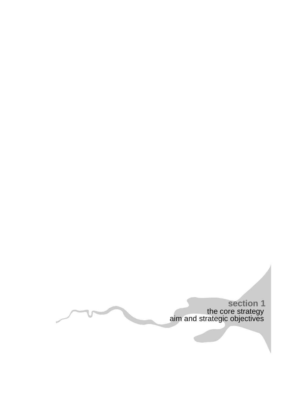the core strategy aim and strategic objectives **section 1**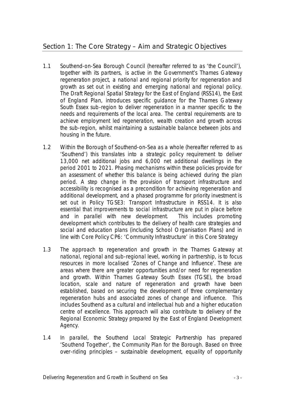- 1.1 Southend-on-Sea Borough Council (hereafter referred to as 'the Council'), together with its partners, is active in the Government's Thames Gateway regeneration project, a national and regional priority for regeneration and growth as set out in existing and emerging national and regional policy. The Draft Regional Spatial Strategy for the East of England (RSS14), the East of England Plan, introduces specific guidance for the Thames Gateway South Essex sub-region to deliver regeneration in a manner specific to the needs and requirements of the local area. The central requirements are to achieve employment led regeneration, wealth creation and growth across the sub-region, whilst maintaining a sustainable balance between jobs and housing in the future.
- 1.2 Within the Borough of Southend-on-Sea as a whole (hereafter referred to as 'Southend') this translates into a strategic policy requirement to deliver 13,000 net additional jobs and 6,000 net additional dwellings in the period 2001 to 2021. Phasing mechanisms within these policies provide for an assessment of whether this balance is being achieved during the plan period. A step change in the provision of transport infrastructure and accessibility is recognised as a precondition for achieving regeneration and additional development, and a phased programme for priority investment is set out in Policy TGSE3: Transport Infrastructure in RSS14. It is also essential that improvements to social infrastructure are put in place before and in parallel with new development. This includes promoting development which contributes to the delivery of health care strategies and social and education plans (including School Organisation Plans) and in line with Core Policy CP6: 'Community Infrastructure' in this Core Strategy
- 1.3 The approach to regeneration and growth in the Thames Gateway at national, regional and sub-regional level, working in partnership, is to focus resources in more localised 'Zones of Change and Influence'. These are areas where there are greater opportunities and/or need for regeneration and growth. Within Thames Gateway South Essex (TGSE), the broad location, scale and nature of regeneration and growth have been established, based on securing the development of three complementary regeneration hubs and associated zones of change and influence. This includes Southend as a cultural and intellectual hub and a higher education centre of excellence. This approach will also contribute to delivery of the Regional Economic Strategy prepared by the East of England Development Agency.
- 1.4 In parallel, the Southend Local Strategic Partnership has prepared 'Southend Together', the Community Plan for the Borough. Based on three over-riding principles – sustainable development, equality of opportunity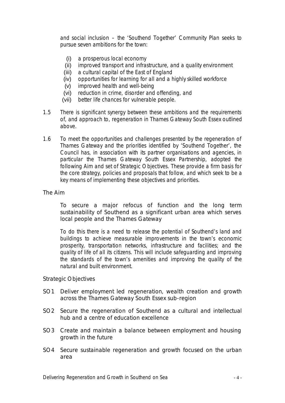and social inclusion – the 'Southend Together' Community Plan seeks to pursue seven ambitions for the town:

- (i) a prosperous local economy
- (ii) improved transport and infrastructure, and a quality environment
- (iii) a cultural capital of the East of England
- (iv) opportunities for learning for all and a highly skilled workforce
- (v) improved health and well-being
- (vi) reduction in crime, disorder and offending, and
- (vii) better life chances for vulnerable people.
- 1.5 There is significant synergy between these ambitions and the requirements of, and approach to, regeneration in Thames Gateway South Essex outlined above.
- 1.6 To meet the opportunities and challenges presented by the regeneration of Thames Gateway and the priorities identified by 'Southend Together', the Council has, in association with its partner organisations and agencies, in particular the Thames Gateway South Essex Partnership, adopted the following Aim and set of Strategic Objectives. These provide a firm basis for the core strategy, policies and proposals that follow, and which seek to be a key means of implementing these objectives and priorities.

#### The Aim

To secure a major refocus of function and the long term sustainability of Southend as a significant urban area which serves local people and the Thames Gateway

To do this there is a need to release the potential of Southend's land and buildings to achieve measurable improvements in the town's economic prosperity, transportation networks, infrastructure and facilities; and the quality of life of all its citizens. This will include safeguarding and improving the standards of the town's amenities and improving the quality of the natural and built environment.

#### Strategic Objectives

- SO1 Deliver employment led regeneration, wealth creation and growth across the Thames Gateway South Essex sub-region
- SO2 Secure the regeneration of Southend as a cultural and intellectual hub and a centre of education excellence
- SO3 Create and maintain a balance between employment and housing growth in the future
- SO4 Secure sustainable regeneration and growth focused on the urban area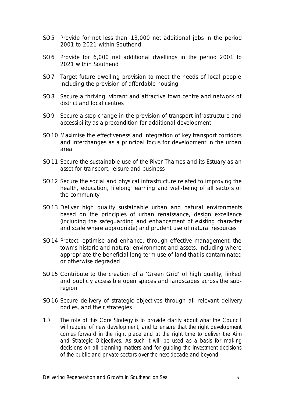- SO5 Provide for not less than 13,000 net additional jobs in the period 2001 to 2021 within Southend
- SO6 Provide for 6,000 net additional dwellings in the period 2001 to 2021 within Southend
- SO7 Target future dwelling provision to meet the needs of local people including the provision of affordable housing
- SO8 Secure a thriving, vibrant and attractive town centre and network of district and local centres
- SO9 Secure a step change in the provision of transport infrastructure and accessibility as a precondition for additional development
- SO10 Maximise the effectiveness and integration of key transport corridors and interchanges as a principal focus for development in the urban area
- SO11 Secure the sustainable use of the River Thames and its Estuary as an asset for transport, leisure and business
- SO12 Secure the social and physical infrastructure related to improving the health, education, lifelong learning and well-being of all sectors of the community
- SO13 Deliver high quality sustainable urban and natural environments based on the principles of urban renaissance, design excellence (including the safeguarding and enhancement of existing character and scale where appropriate) and prudent use of natural resources
- SO14 Protect, optimise and enhance, through effective management, the town's historic and natural environment and assets, including where appropriate the beneficial long term use of land that is contaminated or otherwise degraded
- SO15 Contribute to the creation of a 'Green Grid' of high quality, linked and publicly accessible open spaces and landscapes across the subregion
- SO16 Secure delivery of strategic objectives through all relevant delivery bodies, and their strategies
- 1.7 The role of this Core Strategy is to provide clarity about what the Council will require of new development, and to ensure that the right development comes forward in the right place and at the right time to deliver the Aim and Strategic Objectives. As such it will be used as a basis for making decisions on all planning matters and for guiding the investment decisions of the public and private sectors over the next decade and beyond.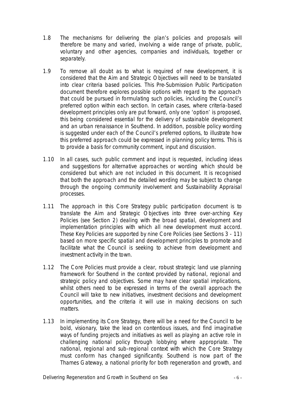- 1.8 The mechanisms for delivering the plan's policies and proposals will therefore be many and varied, involving a wide range of private, public, voluntary and other agencies, companies and individuals, together or separately.
- 1.9 To remove all doubt as to what is required of new development, it is considered that the Aim and Strategic Objectives will need to be translated into clear criteria based policies. This Pre-Submission Public Participation document therefore explores possible options with regard to the approach that could be pursued in formulating such policies, including the Council's preferred option within each section. In certain cases, where criteria-based development principles only are put forward, only one 'option' is proposed, this being considered essential for the delivery of sustainable development and an urban renaissance in Southend. In addition, possible policy wording is suggested under each of the Council's preferred options, to illustrate how this preferred approach could be expressed in planning policy terms. This is to provide a basis for community comment, input and discussion.
- 1.10 In all cases, such public comment and input is requested, including ideas and suggestions for alternative approaches or wording which should be considered but which are not included in this document. It is recognised that both the approach and the detailed wording may be subject to change through the ongoing community involvement and Sustainability Appraisal processes.
- 1.11 The approach in this Core Strategy public participation document is to translate the Aim and Strategic Objectives into three over-arching Key Policies (see Section 2) dealing with the broad spatial, development and implementation principles with which all new development must accord. These Key Policies are supported by nine Core Policies (see Sections 3 - 11) based on more specific spatial and development principles to promote and facilitate what the Council is seeking to achieve from development and investment activity in the town.
- 1.12 The Core Policies must provide a clear, robust strategic land use planning framework for Southend in the context provided by national, regional and strategic policy and objectives. Some may have clear spatial implications, whilst others need to be expressed in terms of the overall approach the Council will take to new initiatives, investment decisions and development opportunities, and the criteria it will use in making decisions on such matters.
- 1.13 In implementing its Core Strategy, there will be a need for the Council to be bold, visionary, take the lead on contentious issues, and find imaginative ways of funding projects and initiatives as well as playing an active role in challenging national policy through lobbying where appropriate. The national, regional and sub-regional context with which the Core Strategy must conform has changed significantly. Southend is now part of the Thames Gateway, a national priority for both regeneration and growth, and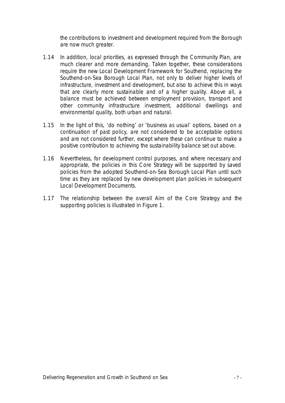the contributions to investment and development required from the Borough are now much greater.

- 1.14 In addition, local priorities, as expressed through the Community Plan, are much clearer and more demanding. Taken together, these considerations require the new Local Development Framework for Southend, replacing the Southend-on-Sea Borough Local Plan, not only to deliver higher levels of infrastructure, investment and development, but also to achieve this in ways that are clearly more sustainable and of a higher quality. Above all, a balance must be achieved between employment provision, transport and other community infrastructure investment, additional dwellings and environmental quality, both urban and natural.
- 1.15 In the light of this, 'do nothing' or 'business as usual' options, based on a continuation of past policy, are not considered to be acceptable options and are not considered further, except where these can continue to make a positive contribution to achieving the sustainability balance set out above.
- 1.16 Nevertheless, for development control purposes, and where necessary and appropriate, the policies in this Core Strategy will be supported by saved policies from the adopted Southend-on-Sea Borough Local Plan until such time as they are replaced by new development plan policies in subsequent Local Development Documents.
- 1.17 The relationship between the overall Aim of the Core Strategy and the supporting policies is illustrated in Figure 1.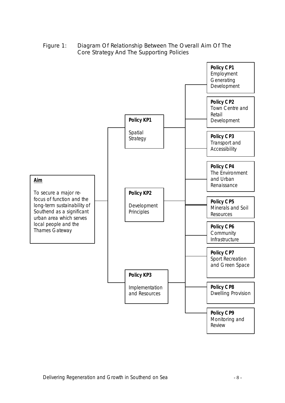Figure 1: Diagram Of Relationship Between The Overall Aim Of The Core Strategy And The Supporting Policies

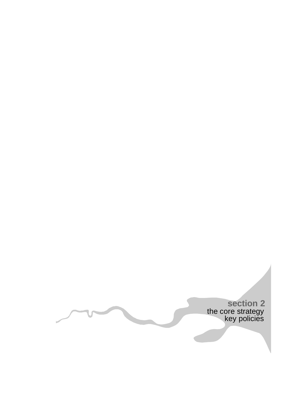the core strategy key policies **section 2**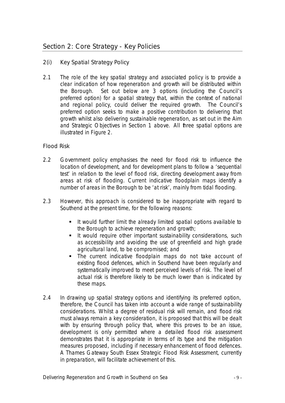- 2(i) Key Spatial Strategy Policy
- 2.1 The role of the key spatial strategy and associated policy is to provide a clear indication of how regeneration and growth will be distributed within the Borough. Set out below are 3 options (including the Council's preferred option) for a spatial strategy that, within the context of national and regional policy, could deliver the required growth. The Council's preferred option seeks to make a positive contribution to delivering that growth whilst also delivering sustainable regeneration, as set out in the Aim and Strategic Objectives in Section 1 above. All three spatial options are illustrated in Figure 2.

### Flood Risk

- 2.2 Government policy emphasises the need for flood risk to influence the location of development, and for development plans to follow a 'sequential test' in relation to the level of flood risk, directing development away from areas at risk of flooding. Current indicative floodplain maps identify a number of areas in the Borough to be 'at risk', mainly from tidal flooding.
- 2.3 However, this approach is considered to be inappropriate with regard to Southend at the present time, for the following reasons:
	- **If would further limit the already limited spatial options available to** the Borough to achieve regeneration and growth;
	- **If would require other important sustainability considerations, such** as accessibility and avoiding the use of greenfield and high grade agricultural land, to be compromised; and
	- The current indicative floodplain maps do not take account of existing flood defences, which in Southend have been regularly and systematically improved to meet perceived levels of risk. The level of actual risk is therefore likely to be much lower than is indicated by these maps.
- 2.4 In drawing up spatial strategy options and identifying its preferred option, therefore, the Council has taken into account a wide range of sustainability considerations. Whilst a degree of residual risk will remain, and flood risk must always remain a key consideration, it is proposed that this will be dealt with by ensuring through policy that, where this proves to be an issue, development is only permitted where a detailed flood risk assessment demonstrates that it is appropriate in terms of its type and the mitigation measures proposed, including if necessary enhancement of flood defences. A Thames Gateway South Essex Strategic Flood Risk Assessment, currently in preparation, will facilitate achievement of this.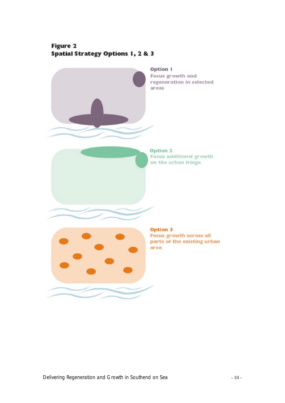# Figure 2 **Spatial Strategy Options 1, 2 & 3**

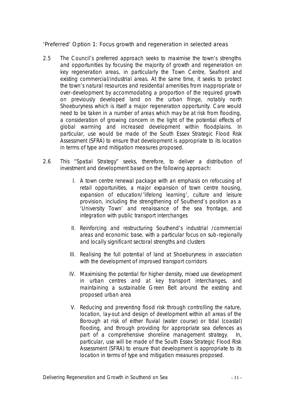'Preferred' Option 1: Focus growth and regeneration in selected areas

- 2.5 The Council's preferred approach seeks to maximise the town's strengths and opportunities by focusing the majority of growth and regeneration on key regeneration areas, in particularly the Town Centre, Seafront and existing commercial/industrial areas. At the same time, it seeks to protect the town's natural resources and residential amenities from inappropriate or over-development by accommodating a proportion of the required growth on previously developed land on the urban fringe, notably north Shoeburyness which is itself a major regeneration opportunity. Care would need to be taken in a number of areas which may be at risk from flooding, a consideration of growing concern in the light of the potential effects of global warming and increased development within floodplains. In particular, use would be made of the South Essex Strategic Flood Risk Assessment (SFRA) to ensure that development is appropriate to its location in terms of type and mitigation measures proposed.
- 2.6 This "Spatial Strategy" seeks, therefore, to deliver a distribution of investment and development based on the following approach:
	- I. A town centre renewal package with an emphasis on refocusing of retail opportunities, a major expansion of town centre housing, expansion of education/'lifelong learning', culture and leisure provision, including the strengthening of Southend's position as a 'University Town' and renaissance of the sea frontage, and integration with public transport interchanges
	- II. Reinforcing and restructuring Southend's industrial /commercial areas and economic base, with a particular focus on sub-regionally and locally significant sectoral strengths and clusters
	- III. Realising the full potential of land at Shoeburyness in association with the development of improved transport corridors
	- IV. Maximising the potential for higher density, mixed use development in urban centres and at key transport interchanges, and maintaining a sustainable Green Belt around the existing and proposed urban area
	- V. Reducing and preventing flood risk through controlling the nature, location, lay-out and design of development within all areas of the Borough at risk of either fluvial (water course) or tidal (coastal) flooding, and through providing for appropriate sea defences as part of a comprehensive shoreline management strategy. In, particular, use will be made of the South Essex Strategic Flood Risk Assessment (SFRA) to ensure that development is appropriate to its location in terms of type and mitigation measures proposed.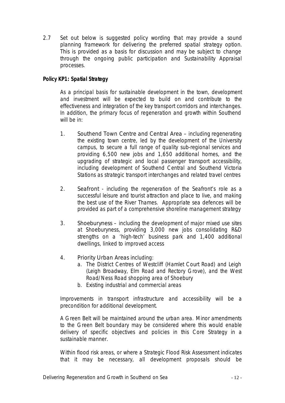2.7 Set out below is suggested policy wording that may provide a sound planning framework for delivering the preferred spatial strategy option. This is provided as a basis for discussion and may be subject to change through the ongoing public participation and Sustainability Appraisal processes.

### *Policy KP1: Spatial Strategy*

*As a principal basis for sustainable development in the town, development and investment will be expected to build on and contribute to the effectiveness and integration of the key transport corridors and interchanges. In addition, the primary focus of regeneration and growth within Southend will be in:*

- *1. Southend Town Centre and Central Area including regenerating the existing town centre, led by the development of the University campus, to secure a full range of quality sub-regional services and providing 6,500 new jobs and 1,650 additional homes, and the upgrading of strategic and local passenger transport accessibility, including development of Southend Central and Southend Victoria Stations as strategic transport interchanges and related travel centres*
- *2. Seafront including the regeneration of the Seafront's role as a successful leisure and tourist attraction and place to live, and making the best use of the River Thames. Appropriate sea defences will be provided as part of a comprehensive shoreline management strategy*
- *3. Shoeburyness – including the development of major mixed use sites at Shoeburyness, providing 3,000 new jobs consolidating R&D strengths on a 'high-tech' business park and 1,400 additional dwellings, linked to improved access*
- *4. Priority Urban Areas including:*
	- *a. The District Centres of Westcliff (Hamlet Court Road) and Leigh (Leigh Broadway, Elm Road and Rectory Grove), and the West Road/Ness Road shopping area of Shoebury*
	- *b. Existing industrial and commercial areas*

*Improvements in transport infrastructure and accessibility will be a precondition for additional development.* 

*A Green Belt will be maintained around the urban area. Minor amendments to the Green Belt boundary may be considered where this would enable delivery of specific objectives and policies in this Core Strategy in a sustainable manner.*

*Within flood risk areas, or where a Strategic Flood Risk Assessment indicates that it may be necessary, all development proposals should be*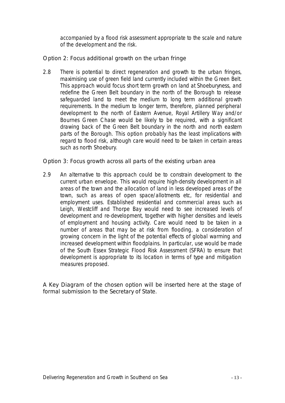*accompanied by a flood risk assessment appropriate to the scale and nature of the development and the risk.*

Option 2: Focus additional growth on the urban fringe

2.8 There is potential to direct regeneration and growth to the urban fringes, maximising use of green field land currently included within the Green Belt. This approach would focus short term growth on land at Shoeburyness, and redefine the Green Belt boundary in the north of the Borough to release safeguarded land to meet the medium to long term additional growth requirements. In the medium to longer term, therefore, planned peripheral development to the north of Eastern Avenue, Royal Artillery Way and/or Bournes Green Chase would be likely to be required, with a significant drawing back of the Green Belt boundary in the north and north eastern parts of the Borough. This option probably has the least implications with regard to flood risk, although care would need to be taken in certain areas such as north Shoebury.

Option 3: Focus growth across all parts of the existing urban area

2.9 An alternative to this approach could be to constrain development to the current urban envelope. This would require high-density development in all areas of the town and the allocation of land in less developed areas of the town, such as areas of open space/allotments etc, for residential and employment uses. Established residential and commercial areas such as Leigh, Westcliff and Thorpe Bay would need to see increased levels of development and re-development, together with higher densities and levels of employment and housing activity. Care would need to be taken in a number of areas that may be at risk from flooding, a consideration of growing concern in the light of the potential effects of global warming and increased development within floodplains. In particular, use would be made of the South Essex Strategic Flood Risk Assessment (SFRA) to ensure that development is appropriate to its location in terms of type and mitigation measures proposed.

A Key Diagram of the chosen option will be inserted here at the stage of formal submission to the Secretary of State.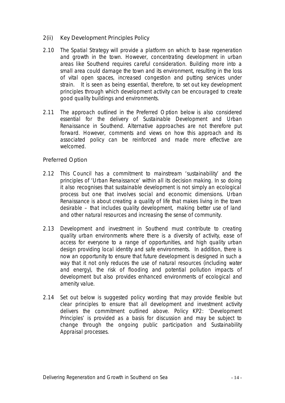- 2(ii) Key Development Principles Policy
- 2.10 The Spatial Strategy will provide a platform on which to base regeneration and growth in the town. However, concentrating development in urban areas like Southend requires careful consideration. Building more into a small area could damage the town and its environment, resulting in the loss of vital open spaces, increased congestion and putting services under strain. It is seen as being essential, therefore, to set out key development principles through which development activity can be encouraged to create good quality buildings and environments.
- 2.11 The approach outlined in the Preferred Option below is also considered essential for the delivery of Sustainable Development and Urban Renaissance in Southend. Alternative approaches are not therefore put forward. However, comments and views on how this approach and its associated policy can be reinforced and made more effective are welcomed.

#### Preferred Option

- 2.12 This Council has a commitment to mainstream 'sustainability' and the principles of 'Urban Renaissance' within all its decision making. In so doing it also recognises that sustainable development is not simply an ecological process but one that involves social and economic dimensions. Urban Renaissance is about creating a quality of life that makes living in the town desirable – that includes quality development, making better use of land and other natural resources and increasing the sense of community.
- 2.13 Development and investment in Southend must contribute to creating quality urban environments where there is a diversity of activity, ease of access for everyone to a range of opportunities, and high quality urban design providing local identity and safe environments. In addition, there is now an opportunity to ensure that future development is designed in such a way that it not only reduces the use of natural resources (including water and energy), the risk of flooding and potential pollution impacts of development but also provides enhanced environments of ecological and amenity value.
- 2.14 Set out below is suggested policy wording that may provide flexible but clear principles to ensure that all development and investment activity delivers the commitment outlined above. Policy KP2: 'Development Principles' is provided as a basis for discussion and may be subject to change through the ongoing public participation and Sustainability Appraisal processes.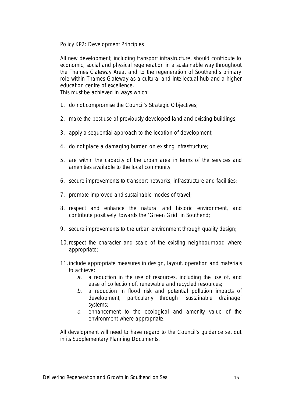*Policy KP2: Development Principles*

*All new development, including transport infrastructure, should contribute to economic, social and physical regeneration in a sustainable way throughout the Thames Gateway Area, and to the regeneration of Southend's primary role within Thames Gateway as a cultural and intellectual hub and a higher education centre of excellence.*

*This must be achieved in ways which:*

- *1. do not compromise the Council's Strategic Objectives;*
- *2. make the best use of previously developed land and existing buildings;*
- *3. apply a sequential approach to the location of development;*
- *4. do not place a damaging burden on existing infrastructure;*
- *5. are within the capacity of the urban area in terms of the services and amenities available to the local community*
- *6. secure improvements to transport networks, infrastructure and facilities;*
- *7. promote improved and sustainable modes of travel;*
- *8. respect and enhance the natural and historic environment, and contribute positively towards the 'Green Grid' in Southend;*
- *9. secure improvements to the urban environment through quality design;*
- *10.respect the character and scale of the existing neighbourhood where appropriate;*
- *11.include appropriate measures in design, layout, operation and materials to achieve:* 
	- *a. a reduction in the use of resources, including the use of, and ease of collection of, renewable and recycled resources;*
	- *b. a reduction in flood risk and potential pollution impacts of development, particularly through 'sustainable drainage' systems;*
	- *c. enhancement to the ecological and amenity value of the environment where appropriate.*

*All development will need to have regard to the Council's guidance set out in its Supplementary Planning Documents.*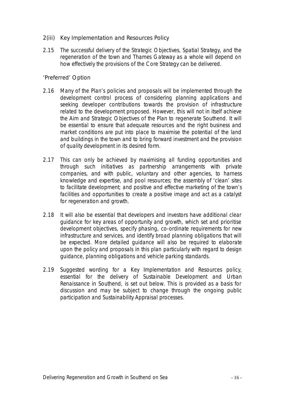- 2(iii) Key Implementation and Resources Policy
- 2.15 The successful delivery of the Strategic Objectives, Spatial Strategy, and the regeneration of the town and Thames Gateway as a whole will depend on how effectively the provisions of the Core Strategy can be delivered.

#### 'Preferred' Option

- 2.16 Many of the Plan's policies and proposals will be implemented through the development control process of considering planning applications and seeking developer contributions towards the provision of infrastructure related to the development proposed. However, this will not in itself achieve the Aim and Strategic Objectives of the Plan to regenerate Southend. It will be essential to ensure that adequate resources and the right business and market conditions are put into place to maximise the potential of the land and buildings in the town and to bring forward investment and the provision of quality development in its desired form.
- 2.17 This can only be achieved by maximising all funding opportunities and through such initiatives as partnership arrangements with private companies, and with public, voluntary and other agencies, to harness knowledge and expertise, and pool resources; the assembly of 'clean' sites to facilitate development; and positive and effective marketing of the town's facilities and opportunities to create a positive image and act as a catalyst for regeneration and growth.
- 2.18 It will also be essential that developers and investors have additional clear guidance for key areas of opportunity and growth, which set and prioritise development objectives, specify phasing, co-ordinate requirements for new infrastructure and services, and identify broad planning obligations that will be expected. More detailed guidance will also be required to elaborate upon the policy and proposals in this plan particularly with regard to design guidance, planning obligations and vehicle parking standards.
- 2.19 Suggested wording for a Key Implementation and Resources policy, essential for the delivery of Sustainable Development and Urban Renaissance in Southend, is set out below. This is provided as a basis for discussion and may be subject to change through the ongoing public participation and Sustainability Appraisal processes.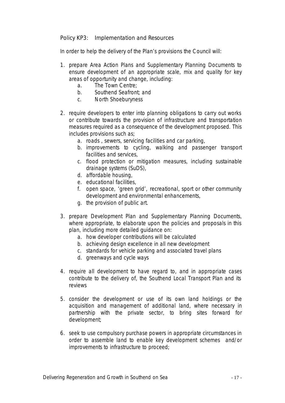*Policy KP3: Implementation and Resources*

*In order to help the delivery of the Plan's provisions the Council will:*

- *1. prepare Area Action Plans and Supplementary Planning Documents to ensure development of an appropriate scale, mix and quality for key areas of opportunity and change, including:*
	- *a. The Town Centre;*
	- *b. Southend Seafront; and*
	- *c. North Shoeburyness*
- *2. require developers to enter into planning obligations to carry out works or contribute towards the provision of infrastructure and transportation measures required as a consequence of the development proposed. This includes provisions such as;*
	- *a. roads , sewers, servicing facilities and car parking,*
	- *b. improvements to cycling, walking and passenger transport facilities and services,*
	- *c. flood protection or mitigation measures, including sustainable drainage systems (SuDS),*
	- *d. affordable housing,*
	- *e. educational facilities,*
	- *f. open space, 'green grid', recreational, sport or other community development and environmental enhancements,*
	- *g. the provision of public art.*
- *3. prepare Development Plan and Supplementary Planning Documents, where appropriate, to elaborate upon the policies and proposals in this plan, including more detailed guidance on:*
	- *a. how developer contributions will be calculated*
	- *b. achieving design excellence in all new development*
	- *c. standards for vehicle parking and associated travel plans*
	- *d. greenways and cycle ways*
- *4. require all development to have regard to, and in appropriate cases contribute to the delivery of, the Southend Local Transport Plan and its reviews*
- *5. consider the development or use of its own land holdings or the acquisition and management of additional land, where necessary in partnership with the private sector, to bring sites forward for development;*
- *6. seek to use compulsory purchase powers in appropriate circumstances in order to assemble land to enable key development schemes and/or improvements to infrastructure to proceed;*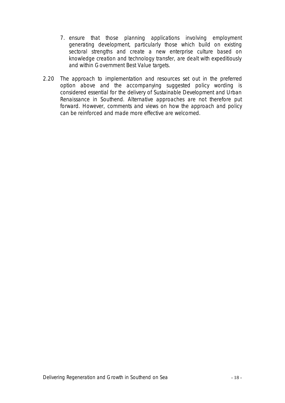- *7. ensure that those planning applications involving employment generating development, particularly those which build on existing sectoral strengths and create a new enterprise culture based on knowledge creation and technology transfer, are dealt with expeditiously and within Government Best Value targets.*
- 2.20 The approach to implementation and resources set out in the preferred option above and the accompanying suggested policy wording is considered essential for the delivery of Sustainable Development and Urban Renaissance in Southend. Alternative approaches are not therefore put forward. However, comments and views on how the approach and policy can be reinforced and made more effective are welcomed.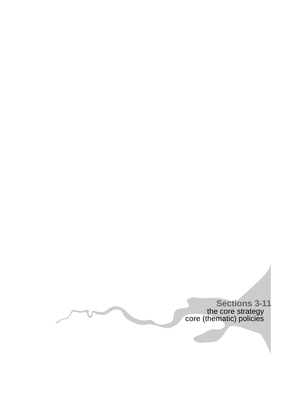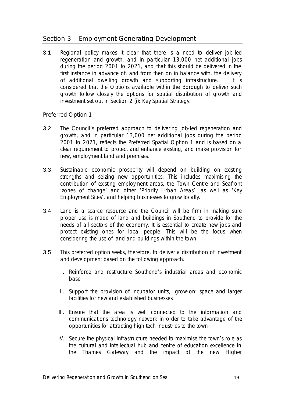# Section 3 – Employment Generating Development

3.1 Regional policy makes it clear that there is a need to deliver job-led regeneration and growth, and in particular 13,000 net additional jobs during the period 2001 to 2021, and that this should be delivered in the first instance in advance of, and from then on in balance with, the delivery of additional dwelling growth and supporting infrastructure. It is considered that the Options available within the Borough to deliver such growth follow closely the options for spatial distribution of growth and investment set out in Section 2 (i): Key Spatial Strategy.

### Preferred Option 1

- 3.2 The Council's preferred approach to delivering job-led regeneration and growth, and in particular 13,000 net additional jobs during the period 2001 to 2021, reflects the Preferred Spatial Option 1 and is based on a clear requirement to protect and enhance existing, and make provision for new, employment land and premises.
- 3.3 Sustainable economic prosperity will depend on building on existing strengths and seizing new opportunities. This includes maximising the contribution of existing employment areas, the Town Centre and Seafront 'zones of change' and other 'Priority Urban Areas', as well as 'Key Employment Sites', and helping businesses to grow locally.
- 3.4 Land is a scarce resource and the Council will be firm in making sure proper use is made of land and buildings in Southend to provide for the needs of all sectors of the economy. It is essential to create new jobs and protect existing ones for local people. This will be the focus when considering the use of land and buildings within the town.
- 3.5 This preferred option seeks, therefore, to deliver a distribution of investment and development based on the following approach.
	- I. Reinforce and restructure Southend's industrial areas and economic base
	- II. Support the provision of incubator units, 'grow-on' space and larger facilities for new and established businesses
	- III. Ensure that the area is well connected to the information and communications technology network in order to take advantage of the opportunities for attracting high tech industries to the town
	- IV. Secure the physical infrastructure needed to maximise the town's role as the cultural and intellectual hub and centre of education excellence in the Thames Gateway and the impact of the new Higher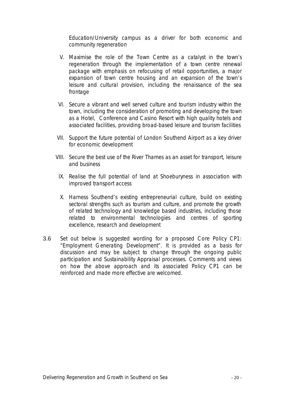Education/University campus as a driver for both economic and community regeneration

- V. Maximise the role of the Town Centre as a catalyst in the town's regeneration through the implementation of a town centre renewal package with emphasis on refocusing of retail opportunities, a major expansion of town centre housing and an expansion of the town's leisure and cultural provision, including the renaissance of the sea frontage
- VI. Secure a vibrant and well served culture and tourism industry within the town, including the consideration of promoting and developing the town as a Hotel, Conference and Casino Resort with high quality hotels and associated facilities, providing broad-based leisure and tourism facilities
- VII. Support the future potential of London Southend Airport as a key driver for economic development
- VIII. Secure the best use of the River Thames as an asset for transport, leisure and business
	- IX. Realise the full potential of land at Shoeburyness in association with improved transport access
	- X. Harness Southend's existing entrepreneurial culture, build on existing sectoral strengths such as tourism and culture, and promote the growth of related technology and knowledge based industries, including those related to environmental technologies and centres of sporting excellence, research and development
- 3.6 Set out below is suggested wording for a proposed Core Policy CP1: "Employment Generating Development". It is provided as a basis for discussion and may be subject to change through the ongoing public participation and Sustainability Appraisal processes. Comments and views on how the above approach and its associated Policy CP1 can be reinforced and made more effective are welcomed.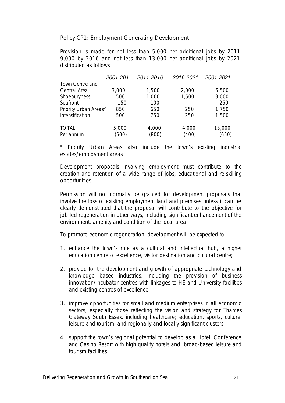*Policy CP1: Employment Generating Development*

*Provision is made for not less than 5,000 net additional jobs by 2011, 9,000 by 2016 and not less than 13,000 net additional jobs by 2021, distributed as follows:*

|                       | 2001-201 | 2011-2016 | 2016-2021 | 2001-2021 |
|-----------------------|----------|-----------|-----------|-----------|
| Town Centre and       |          |           |           |           |
| Central Area          | 3,000    | 1,500     | 2,000     | 6,500     |
| Shoeburyness          | 500      | 1,000     | 1,500     | 3,000     |
| Seafront              | 150      | 100       |           | 250       |
| Priority Urban Areas* | 850      | 650       | 250       | 1,750     |
| Intensification       | 500      | 750       | 250       | 1,500     |
| <b>TOTAL</b>          | 5,000    | 4,000     | 4,000     | 13,000    |
| Per annum             | (500)    | (800)     | (400)     | (650)     |

*\* Priority Urban Areas also include the town's existing industrial estates/employment areas*

*Development proposals involving employment must contribute to the creation and retention of a wide range of jobs, educational and re-skilling opportunities.*

*Permission will not normally be granted for development proposals that involve the loss of existing employment land and premises unless it can be clearly demonstrated that the proposal will contribute to the objective for job-led regeneration in other ways, including significant enhancement of the environment, amenity and condition of the local area.*

*To promote economic regeneration, development will be expected to:*

- *1. enhance the town's role as a cultural and intellectual hub, a higher education centre of excellence, visitor destination and cultural centre;*
- *2. provide for the development and growth of appropriate technology and knowledge based industries, including the provision of business innovation/incubator centres with linkages to HE and University facilities and existing centres of excellence;*
- *3. improve opportunities for small and medium enterprises in all economic sectors, especially those reflecting the vision and strategy for Thames Gateway South Essex, including healthcare; education, sports, culture, leisure and tourism, and regionally and locally significant clusters*
- *4. support the town's regional potential to develop as a Hotel, Conference and Casino Resort with high quality hotels and broad-based leisure and tourism facilities*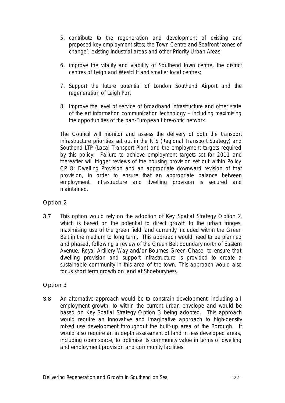- *5. contribute to the regeneration and development of existing and proposed key employment sites; the Town Centre and Seafront 'zones of change'; existing industrial areas and other Priority Urban Areas;*
- *6. improve the vitality and viability of Southend town centre, the district centres of Leigh and Westcliff and smaller local centres;*
- *7. Support the future potential of London Southend Airport and the regeneration of Leigh Port*
- *8. Improve the level of service of broadband infrastructure and other state of the art information communication technology – including maximising the opportunities of the pan-European fibre-optic network*

*The Council will monitor and assess the delivery of both the transport infrastructure priorities set out in the RTS (Regional Transport Strategy) and Southend LTP (Local Transport Plan) and the employment targets required by this policy. Failure to achieve employment targets set for 2011 and thereafter will trigger reviews of the housing provision set out within Policy CP 8: Dwelling Provision and an appropriate downward revision of that provision, in order to ensure that an appropriate balance between employment, infrastructure and dwelling provision is secured and maintained.* 

### Option 2

3.7 This option would rely on the adoption of Key Spatial Strategy Option 2, which is based on the potential to direct growth to the urban fringes, maximising use of the green field land currently included within the Green Belt in the medium to long term. This approach would need to be planned and phased, following a review of the Green Belt boundary north of Eastern Avenue, Royal Artillery Way and/or Bournes Green Chase, to ensure that dwelling provision and support infrastructure is provided to create a sustainable community in this area of the town. This approach would also focus short term growth on land at Shoeburyness.

### Option 3

3.8 An alternative approach would be to constrain development, including all employment growth, to within the current urban envelope and would be based on Key Spatial Strategy Option 3 being adopted. This approach would require an innovative and imaginative approach to high-density mixed use development throughout the built-up area of the Borough. It would also require an in depth assessment of land in less developed areas, including open space, to optimise its community value in terms of dwelling and employment provision and community facilities.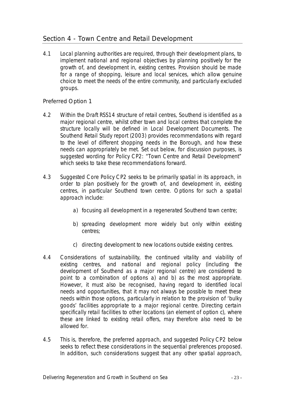# Section 4 - Town Centre and Retail Development

4.1 Local planning authorities are required, through their development plans, to implement national and regional objectives by planning positively for the growth of, and development in, existing centres. Provision should be made for a range of shopping, leisure and local services, which allow genuine choice to meet the needs of the entire community, and particularly excluded groups.

Preferred Option 1

- 4.2 Within the Draft RSS14 structure of retail centres, Southend is identified as a major regional centre, whilst other town and local centres that complete the structure locally will be defined in Local Development Documents. The Southend Retail Study report (2003) provides recommendations with regard to the level of different shopping needs in the Borough, and how these needs can appropriately be met. Set out below, for discussion purposes, is suggested wording for Policy CP2: "Town Centre and Retail Development" which seeks to take these recommendations forward.
- 4.3 Suggested Core Policy CP2 seeks to be primarily spatial in its approach, in order to plan positively for the growth of, and development in, existing centres, in particular Southend town centre. Options for such a spatial approach include:
	- a) focusing all development in a regenerated Southend town centre;
	- b) spreading development more widely but only within existing centres;
	- c) directing development to new locations outside existing centres.
- 4.4 Considerations of sustainability, the continued vitality and viability of existing centres, and national and regional policy (including the development of Southend as a major regional centre) are considered to point to a combination of options a) and b) as the most appropriate. However, it must also be recognised, having regard to identified local needs and opportunities, that it may not always be possible to meet these needs within those options, particularly in relation to the provision of 'bulky goods' facilities appropriate to a major regional centre. Directing certain specifically retail facilities to other locations (an element of option c), where these are linked to existing retail offers, may therefore also need to be allowed for.
- 4.5 This is, therefore, the preferred approach, and suggested Policy CP2 below seeks to reflect these considerations in the sequential preferences proposed. In addition, such considerations suggest that any other spatial approach,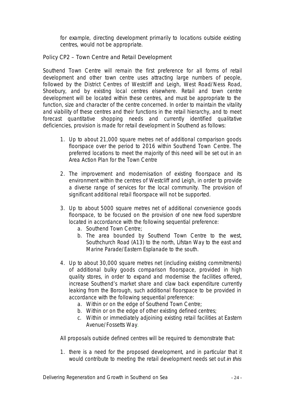for example, directing development primarily to locations outside existing centres, would not be appropriate.

*Policy CP2 – Town Centre and Retail Development*

*Southend Town Centre will remain the first preference for all forms of retail development and other town centre uses attracting large numbers of people, followed by the District Centres of Westcliff and Leigh, West Road/Ness Road, Shoebury, and by existing local centres elsewhere. Retail and town centre development will be located within these centres, and must be appropriate to the function, size and character of the centre concerned. In order to maintain the vitality and viability of these centres and their functions in the retail hierarchy, and to meet forecast quantitative shopping needs and currently identified qualitative deficiencies, provision is made for retail development in Southend as follows:*

- *1. Up to about 21,000 square metres net of additional comparison goods floorspace over the period to 2016 within Southend Town Centre. The preferred locations to meet the majority of this need will be set out in an Area Action Plan for the Town Centre*
- *2. The improvement and modernisation of existing floorspace and its environment within the centres of Westcliff and Leigh, in order to provide a diverse range of services for the local community. The provision of significant additional retail floorspace will not be supported.*
- *3. Up to about 5000 square metres net of additional convenience goods floorspace, to be focused on the provision of one new food superstore located in accordance with the following sequential preference:*
	- *a. Southend Town Centre;*
	- *b. The area bounded by Southend Town Centre to the west, Southchurch Road (A13) to the north, Lifstan Way to the east and Marine Parade/Eastern Esplanade to the south.*
- *4. Up to about 30,000 square metres net (including existing commitments) of additional bulky goods comparison floorspace, provided in high quality stores, in order to expand and modernise the facilities offered, increase Southend's market share and claw back expenditure currently leaking from the Borough, such additional floorspace to be provided in accordance with the following sequential preference:*
	- *a. Within or on the edge of Southend Town Centre;*
	- *b. Within or on the edge of other existing defined centres;*
	- *c. Within or immediately adjoining existing retail facilities at Eastern Avenue/Fossetts Way.*

*All proposals outside defined centres will be required to demonstrate that:*

*1. there is a need for the proposed development, and in particular that it would contribute to meeting the retail development needs set out in this*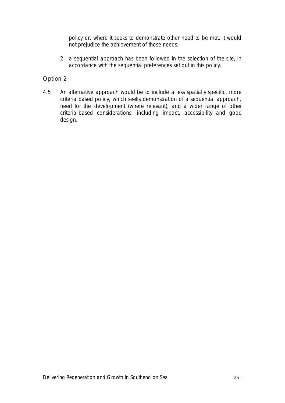*policy or, where it seeks to demonstrate other need to be met, it would not prejudice the achievement of those needs;*

*2. a sequential approach has been followed in the selection of the site, in accordance with the sequential preferences set out in this policy.*

### Option 2

4.5 An alternative approach would be to include a less spatially specific, more criteria based policy, which seeks demonstration of a sequential approach, need for the development (where relevant), and a wider range of other criteria-based considerations, including impact, accessibility and good design.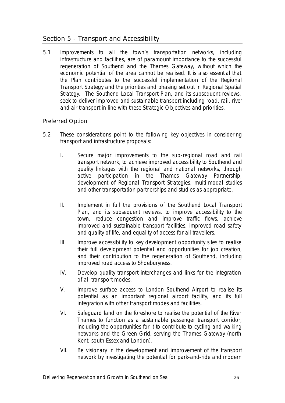# Section 5 - Transport and Accessibility

5.1 Improvements to all the town's transportation networks, including infrastructure and facilities, are of paramount importance to the successful regeneration of Southend and the Thames Gateway, without which the economic potential of the area cannot be realised. It is also essential that the Plan contributes to the successful implementation of the Regional Transport Strategy and the priorities and phasing set out in Regional Spatial Strategy. The Southend Local Transport Plan, and its subsequent reviews, seek to deliver improved and sustainable transport including road, rail, river and air transport in line with these Strategic Objectives and priorities.

#### Preferred Option

- 5.2 These considerations point to the following key objectives in considering transport and infrastructure proposals:
	- I. Secure major improvements to the sub-regional road and rail transport network, to achieve improved accessibility to Southend and quality linkages with the regional and national networks, through active participation in the Thames Gateway Partnership, development of Regional Transport Strategies, multi-modal studies and other transportation partnerships and studies as appropriate.
	- II. Implement in full the provisions of the Southend Local Transport Plan, and its subsequent reviews, to improve accessibility to the town, reduce congestion and improve traffic flows, achieve improved and sustainable transport facilities, improved road safety and quality of life, and equality of access for all travellers.
	- III. Improve accessibility to key development opportunity sites to realise their full development potential and opportunities for job creation, and their contribution to the regeneration of Southend, including improved road access to Shoeburyness.
	- IV. Develop quality transport interchanges and links for the integration of all transport modes.
	- V. Improve surface access to London Southend Airport to realise its potential as an important regional airport facility, and its full integration with other transport modes and facilities.
	- VI. Safeguard land on the foreshore to realise the potential of the River Thames to function as a sustainable passenger transport corridor, including the opportunities for it to contribute to cycling and walking networks and the Green Grid, serving the Thames Gateway (north Kent, south Essex and London).
	- VII. Be visionary in the development and improvement of the transport network by investigating the potential for park-and-ride and modern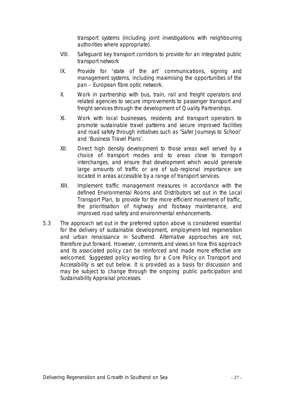transport systems (including joint investigations with neighbouring authorities where appropriate).

- VIII. Safeguard key transport corridors to provide for an integrated public transport network
- IX. Provide for 'state of the art' communications, signing and management systems, including maximising the opportunities of the pan – European fibre optic network.
- X. Work in partnership with bus, train, rail and freight operators and related agencies to secure improvements to passenger transport and freight services through the development of Quality Partnerships.
- XI. Work with local businesses, residents and transport operators to promote sustainable travel patterns and secure improved facilities and road safety through initiatives such as 'Safer Journeys to School' and 'Business Travel Plans'.
- XII. Direct high density development to those areas well served by a choice of transport modes and to areas close to transport interchanges, and ensure that development which would generate large amounts of traffic or are of sub-regional importance are located in areas accessible by a range of transport services.
- XIII. Implement traffic management measures in accordance with the defined Environmental Rooms and Distributors set out in the Local Transport Plan, to provide for the more efficient movement of traffic, the prioritisation of highway and footway maintenance, and improved road safety and environmental enhancements.
- 5.3 The approach set out in the preferred option above is considered essential for the delivery of sustainable development, employment-led regeneration and urban renaissance in Southend. Alternative approaches are not, therefore put forward. However, comments and views on how this approach and its associated policy can be reinforced and made more effective are welcomed. Suggested policy wording for a Core Policy on Transport and Accessibility is set out below. It is provided as a basis for discussion and may be subject to change through the ongoing public participation and Sustainability Appraisal processes.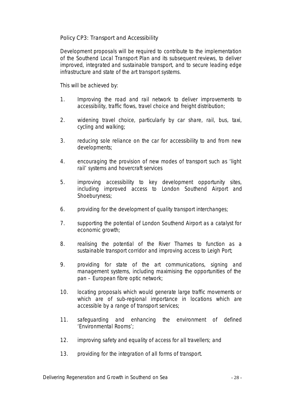*Policy CP3: Transport and Accessibility*

*Development proposals will be required to contribute to the implementation of the Southend Local Transport Plan and its subsequent reviews, to deliver improved, integrated and sustainable transport, and to secure leading edge infrastructure and state of the art transport systems.*

*This will be achieved by:*

- *1. Improving the road and rail network to deliver improvements to accessibility, traffic flows, travel choice and freight distribution;*
- *2. widening travel choice, particularly by car share, rail, bus, taxi, cycling and walking;*
- *3. reducing sole reliance on the car for accessibility to and from new developments;*
- *4. encouraging the provision of new modes of transport such as 'light rail' systems and hovercraft services*
- *5. improving accessibility to key development opportunity sites, including improved access to London Southend Airport and Shoeburyness;*
- *6. providing for the development of quality transport interchanges;*
- *7. supporting the potential of London Southend Airport as a catalyst for economic growth;*
- *8. realising the potential of the River Thames to function as a sustainable transport corridor and improving access to Leigh Port;*
- *9. providing for state of the art communications, signing and management systems, including maximising the opportunities of the pan – European fibre optic network;*
- *10. locating proposals which would generate large traffic movements or which are of sub-regional importance in locations which are accessible by a range of transport services;*
- *11. safeguarding and enhancing the environment of defined 'Environmental Rooms';*
- *12. improving safety and equality of access for all travellers; and*
- *13. providing for the integration of all forms of transport.*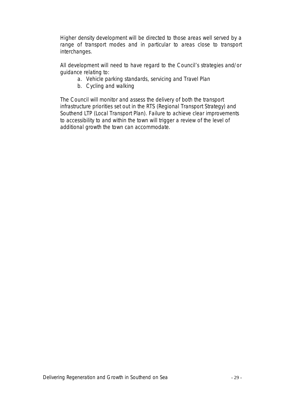*Higher density development will be directed to those areas well served by a range of transport modes and in particular to areas close to transport interchanges.*

*All development will need to have regard to the Council's strategies and/or guidance relating to:*

- *a. Vehicle parking standards, servicing and Travel Plan*
- *b. Cycling and walking*

*The Council will monitor and assess the delivery of both the transport infrastructure priorities set out in the RTS (Regional Transport Strategy) and Southend LTP (Local Transport Plan). Failure to achieve clear improvements*  to accessibility to and within the town will trigger a review of the level of *additional growth the town can accommodate.*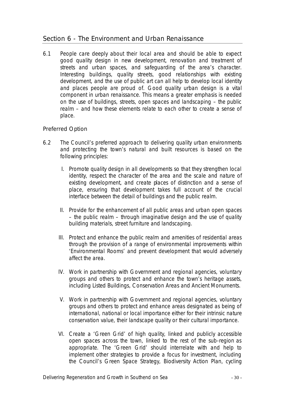# Section 6 - The Environment and Urban Renaissance

6.1 People care deeply about their local area and should be able to expect good quality design in new development, renovation and treatment of streets and urban spaces, and safeguarding of the area's character. Interesting buildings, quality streets, good relationships with existing development, and the use of public art can all help to develop local identity and places people are proud of. Good quality urban design is a vital component in urban renaissance. This means a greater emphasis is needed on the use of buildings, streets, open spaces and landscaping – the public realm – and how these elements relate to each other to create a sense of place.

### Preferred Option

- 6.2 The Council's preferred approach to delivering quality urban environments and protecting the town's natural and built resources is based on the following principles:
	- I. Promote quality design in all developments so that they strengthen local identity, respect the character of the area and the scale and nature of existing development, and create places of distinction and a sense of place, ensuring that development takes full account of the crucial interface between the detail of buildings and the public realm.
	- II. Provide for the enhancement of all public areas and urban open spaces – the public realm – through imaginative design and the use of quality building materials, street furniture and landscaping.
	- III. Protect and enhance the public realm and amenities of residential areas through the provision of a range of environmental improvements within 'Environmental Rooms' and prevent development that would adversely affect the area.
	- IV. Work in partnership with Government and regional agencies, voluntary groups and others to protect and enhance the town's heritage assets, including Listed Buildings, Conservation Areas and Ancient Monuments.
	- V. Work in partnership with Government and regional agencies, voluntary groups and others to protect and enhance areas designated as being of international, national or local importance either for their intrinsic nature conservation value, their landscape quality or their cultural importance.
	- VI. Create a 'Green Grid' of high quality, linked and publicly accessible open spaces across the town, linked to the rest of the sub-region as appropriate. The 'Green Grid' should interrelate with and help to implement other strategies to provide a focus for investment, including the Council's Green Space Strategy, Biodiversity Action Plan, cycling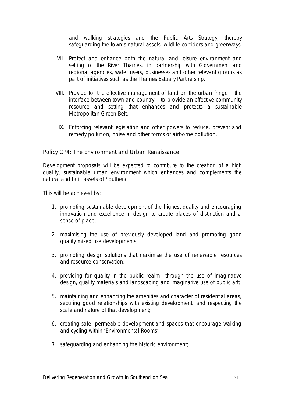and walking strategies and the Public Arts Strategy, thereby safeguarding the town's natural assets, wildlife corridors and greenways.

- VII. Protect and enhance both the natural and leisure environment and setting of the River Thames, in partnership with Government and regional agencies, water users, businesses and other relevant groups as part of initiatives such as the Thames Estuary Partnership.
- VIII. Provide for the effective management of land on the urban fringe the interface between town and country – to provide an effective community resource and setting that enhances and protects a sustainable Metropolitan Green Belt.
- IX. Enforcing relevant legislation and other powers to reduce, prevent and remedy pollution, noise and other forms of airborne pollution.

#### *Policy CP4: The Environment and Urban Renaissance*

*Development proposals will be expected to contribute to the creation of a high quality, sustainable urban environment which enhances and complements the natural and built assets of Southend.*

*This will be achieved by:*

- *1. promoting sustainable development of the highest quality and encouraging innovation and excellence in design to create places of distinction and a sense of place;*
- *2. maximising the use of previously developed land and promoting good quality mixed use developments;*
- *3. promoting design solutions that maximise the use of renewable resources and resource conservation;*
- *4. providing for quality in the public realm through the use of imaginative design, quality materials and landscaping and imaginative use of public art;*
- *5. maintaining and enhancing the amenities and character of residential areas, securing good relationships with existing development, and respecting the scale and nature of that development;*
- *6. creating safe, permeable development and spaces that encourage walking and cycling within 'Environmental Rooms'*
- *7. safeguarding and enhancing the historic environment;*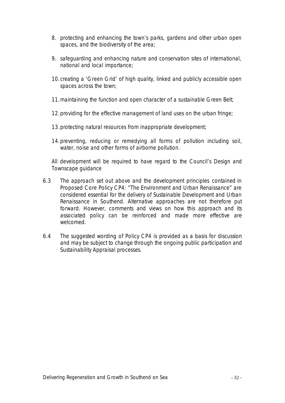- *8. protecting and enhancing the town's parks, gardens and other urban open spaces, and the biodiversity of the area;*
- *9. safeguarding and enhancing nature and conservation sites of international, national and local importance;*
- *10.creating a 'Green Grid' of high quality, linked and publicly accessible open spaces across the town;*
- *11.maintaining the function and open character of a sustainable Green Belt;*
- *12.providing for the effective management of land uses on the urban fringe;*
- *13.protecting natural resources from inappropriate development;*
- *14.preventing, reducing or remedying all forms of pollution including soil, water, noise and other forms of airborne pollution.*

*All development will be required to have regard to the Council's Design and Townscape guidance* 

- 6.3 The approach set out above and the development principles contained in Proposed Core Policy CP4: "The Environment and Urban Renaissance" are considered essential for the delivery of Sustainable Development and Urban Renaissance in Southend. Alternative approaches are not therefore put forward. However, comments and views on how this approach and its associated policy can be reinforced and made more effective are welcomed.
- 6.4 The suggested wording of Policy CP4 is provided as a basis for discussion and may be subject to change through the ongoing public participation and Sustainability Appraisal processes.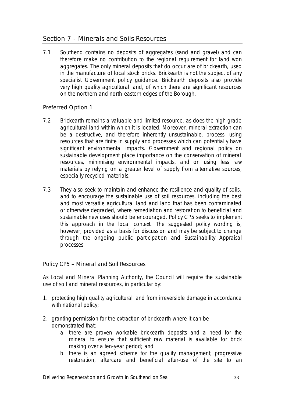# Section 7 - Minerals and Soils Resources

7.1 Southend contains no deposits of aggregates (sand and gravel) and can therefore make no contribution to the regional requirement for land won aggregates. The only mineral deposits that do occur are of brickearth, used in the manufacture of local stock bricks. Brickearth is not the subject of any specialist Government policy guidance. Brickearth deposits also provide very high quality agricultural land, of which there are significant resources on the northern and north-eastern edges of the Borough.

### Preferred Option 1

- 7.2 Brickearth remains a valuable and limited resource, as does the high grade agricultural land within which it is located. Moreover, mineral extraction can be a destructive, and therefore inherently unsustainable, process, using resources that are finite in supply and processes which can potentially have significant environmental impacts. Government and regional policy on sustainable development place importance on the conservation of mineral resources, minimising environmental impacts, and on using less raw materials by relying on a greater level of supply from alternative sources, especially recycled materials.
- 7.3 They also seek to maintain and enhance the resilience and quality of soils, and to encourage the sustainable use of soil resources, including the best and most versatile agricultural land and land that has been contaminated or otherwise degraded, where remediation and restoration to beneficial and sustainable new uses should be encouraged. Policy CP5 seeks to implement this approach in the local context. The suggested policy wording is, however, provided as a basis for discussion and may be subject to change through the ongoing public participation and Sustainability Appraisal processes

#### *Policy CP5 – Mineral and Soil Resources*

*As Local and Mineral Planning Authority, the Council will require the sustainable use of soil and mineral resources, in particular by:*

- *1. protecting high quality agricultural land from irreversible damage in accordance with national policy;*
- *2. granting permission for the extraction of brickearth where it can be demonstrated that:*
	- *a. there are proven workable brickearth deposits and a need for the mineral to ensure that sufficient raw material is available for brick making over a ten-year period; and*
	- *b. there is an agreed scheme for the quality management, progressive restoration, aftercare and beneficial after-use of the site to an*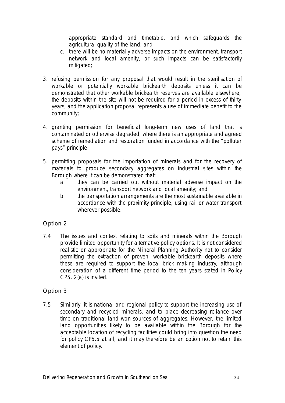*appropriate standard and timetable, and which safeguards the agricultural quality of the land; and*

- *c. there will be no materially adverse impacts on the environment, transport network and local amenity, or such impacts can be satisfactorily mitigated;*
- *3. refusing permission for any proposal that would result in the sterilisation of workable or potentially workable brickearth deposits unless it can be demonstrated that other workable brickearth reserves are available elsewhere, the deposits within the site will not be required for a period in excess of thirty years, and the application proposal represents a use of immediate benefit to the community;*
- *4. granting permission for beneficial long-term new uses of land that is contaminated or otherwise degraded, where there is an appropriate and agreed scheme of remediation and restoration funded in accordance with the "polluter pays" principle*
- *5. permitting proposals for the importation of minerals and for the recovery of materials to produce secondary aggregates on industrial sites within the Borough where it can be demonstrated that:*
	- *a. they can be carried out without material adverse impact on the environment, transport network and local amenity; and*
	- *b. the transportation arrangements are the most sustainable available in accordance with the proximity principle, using rail or water transport wherever possible.*

### Option 2

7.4 The issues and context relating to soils and minerals within the Borough provide limited opportunity for alternative policy options. It is not considered realistic or appropriate for the Mineral Planning Authority not to consider permitting the extraction of proven, workable brickearth deposits where these are required to support the local brick making industry, although consideration of a different time period to the ten years stated in Policy CP5. 2(a) is invited.

### Option 3

7.5 Similarly, it is national and regional policy to support the increasing use of secondary and recycled minerals, and to place decreasing reliance over time on traditional land won sources of aggregates. However, the limited land opportunities likely to be available within the Borough for the acceptable location of recycling facilities could bring into question the need for policy CP5.5 at all, and it may therefore be an option not to retain this element of policy.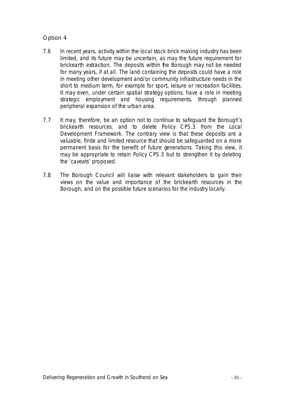### Option 4

- 7.6 In recent years, activity within the local stock brick making industry has been limited, and its future may be uncertain, as may the future requirement for brickearth extraction. The deposits within the Borough may not be needed for many years, if at all. The land containing the deposits could have a role in meeting other development and/or community infrastructure needs in the short to medium term, for example for sport, leisure or recreation facilities. It may even, under certain spatial strategy options, have a role in meeting strategic employment and housing requirements, through planned peripheral expansion of the urban area.
- 7.7 It may, therefore, be an option not to continue to safeguard the Borough's brickearth resources, and to delete Policy CP5.3 from the Local Development Framework. The contrary view is that these deposits are a valuable, finite and limited resource that should be safeguarded on a more permanent basis for the benefit of future generations. Taking this view, it may be appropriate to retain Policy CP5.3 but to strengthen it by deleting the 'caveats' proposed.
- 7.8 The Borough Council will liaise with relevant stakeholders to gain their views on the value and importance of the brickearth resources in the Borough, and on the possible future scenarios for the industry locally.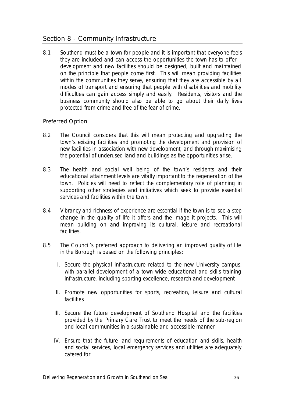### Section 8 - Community Infrastructure

8.1 Southend must be a town for people and it is important that everyone feels they are included and can access the opportunities the town has to offer – development and new facilities should be designed, built and maintained on the principle that people come first. This will mean providing facilities within the communities they serve, ensuring that they are accessible by all modes of transport and ensuring that people with disabilities and mobility difficulties can gain access simply and easily. Residents, visitors and the business community should also be able to go about their daily lives protected from crime and free of the fear of crime.

#### Preferred Option

- 8.2 The Council considers that this will mean protecting and upgrading the town's existing facilities and promoting the development and provision of new facilities in association with new development, and through maximising the potential of underused land and buildings as the opportunities arise.
- 8.3 The health and social well being of the town's residents and their educational attainment levels are vitally important to the regeneration of the town. Policies will need to reflect the complementary role of planning in supporting other strategies and initiatives which seek to provide essential services and facilities within the town.
- 8.4 Vibrancy and richness of experience are essential if the town is to see a step change in the quality of life it offers and the image it projects. This will mean building on and improving its cultural, leisure and recreational facilities.
- 8.5 The Council's preferred approach to delivering an improved quality of life in the Borough is based on the following principles:
	- I. Secure the physical infrastructure related to the new University campus, with parallel development of a town wide educational and skills training infrastructure, including sporting excellence, research and development
	- II. Promote new opportunities for sports, recreation, leisure and cultural facilities
	- III. Secure the future development of Southend Hospital and the facilities provided by the Primary Care Trust to meet the needs of the sub-region and local communities in a sustainable and accessible manner
	- IV. Ensure that the future land requirements of education and skills, health and social services, local emergency services and utilities are adequately catered for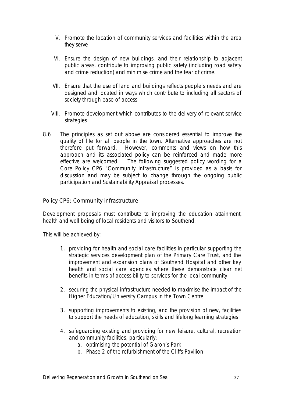- V. Promote the location of community services and facilities within the area they serve
- VI. Ensure the design of new buildings, and their relationship to adjacent public areas, contribute to improving public safety (including road safety and crime reduction) and minimise crime and the fear of crime.
- VII. Ensure that the use of land and buildings reflects people's needs and are designed and located in ways which contribute to including all sectors of society through ease of access
- VIII. Promote development which contributes to the delivery of relevant service strategies
- 8.6 The principles as set out above are considered essential to improve the quality of life for all people in the town. Alternative approaches are not therefore put forward. However, comments and views on how this approach and its associated policy can be reinforced and made more effective are welcomed. The following suggested policy wording for a Core Policy CP6 "Community Infrastructure" is provided as a basis for discussion and may be subject to change through the ongoing public participation and Sustainability Appraisal processes.

### *Policy CP6: Community infrastructure*

*Development proposals must contribute to improving the education attainment, health and well being of local residents and visitors to Southend.*

*This will be achieved by;*

- *1. providing for health and social care facilities in particular supporting the strategic services development plan of the Primary Care Trust, and the improvement and expansion plans of Southend Hospital and other key health and social care agencies where these demonstrate clear net benefits in terms of accessibility to services for the local community*
- *2. securing the physical infrastructure needed to maximise the impact of the Higher Education/University Campus in the Town Centre*
- *3. supporting improvements to existing, and the provision of new, facilities to support the needs of education, skills and lifelong learning strategies*
- *4. safeguarding existing and providing for new leisure, cultural, recreation and community facilities, particularly:*
	- *a. optimising the potential of Garon's Park*
	- *b. Phase 2 of the refurbishment of the Cliffs Pavilion*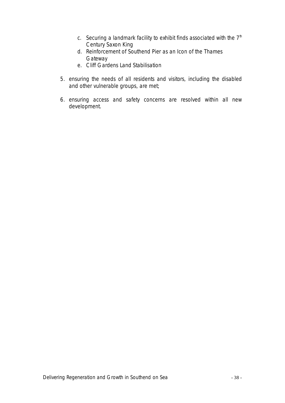- *c. Securing a landmark facility to exhibit finds associated with the 7th Century Saxon King*
- *d. Reinforcement of Southend Pier as an Icon of the Thames Gateway*
- *e. Cliff Gardens Land Stabilisation*
- *5. ensuring the needs of all residents and visitors, including the disabled and other vulnerable groups, are met;*
- *6. ensuring access and safety concerns are resolved within all new development.*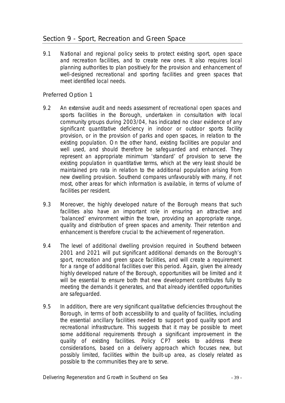# Section 9 - Sport, Recreation and Green Space

9.1 National and regional policy seeks to protect existing sport, open space and recreation facilities, and to create new ones. It also requires local planning authorities to plan positively for the provision and enhancement of well-designed recreational and sporting facilities and green spaces that meet identified local needs.

### Preferred Option 1

- 9.2 An extensive audit and needs assessment of recreational open spaces and sports facilities in the Borough, undertaken in consultation with local community groups during 2003/04, has indicated no clear evidence of any significant *quantitative* deficiency in indoor or outdoor sports facility provision, or in the provision of parks and open spaces, in relation to the existing population. On the other hand, existing facilities are popular and well used, and should therefore be safeguarded and enhanced. They represent an appropriate minimum 'standard' of provision to serve the existing population in quantitative terms, which at the very least should be maintained pro rata in relation to the additional population arising from new dwelling provision. Southend compares unfavourably with many, if not most, other areas for which information is available, in terms of volume of facilities per resident.
- 9.3 Moreover, the highly developed nature of the Borough means that such facilities also have an important role in ensuring an attractive and 'balanced' environment within the town, providing an appropriate range, quality and distribution of green spaces and amenity. Their retention and enhancement is therefore crucial to the achievement of regeneration.
- 9.4 The level of additional dwelling provision required in Southend between 2001 and 2021 will put significant additional demands on the Borough's sport, recreation and green space facilities, and will create a requirement for a range of additional facilities over this period. Again, given the already highly developed nature of the Borough, opportunities will be limited and it will be essential to ensure both that new development contributes fully to meeting the demands it generates, and that already identified opportunities are safeguarded.
- 9.5 In addition, there are very significant qualitative deficiencies throughout the Borough, in terms of both accessibility to and quality of facilities, including the essential ancillary facilities needed to support good quality sport and recreational infrastructure. This suggests that it may be possible to meet some additional requirements through a significant improvement in the quality of existing facilities. Policy CP7 seeks to address these considerations, based on a delivery approach which focuses new, but possibly limited, facilities within the built-up area, as closely related as possible to the communities they are to serve.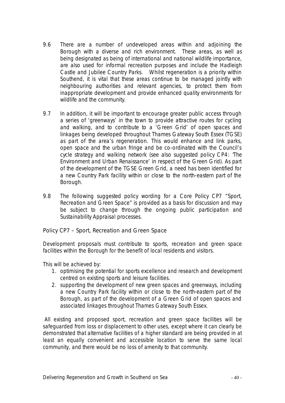- 9.6 There are a number of undeveloped areas within and adjoining the Borough with a diverse and rich environment. These areas, as well as being designated as being of international and national wildlife importance, are also used for informal recreation purposes and include the Hadleigh Castle and Jubilee Country Parks. Whilst regeneration is a priority within Southend, it is vital that these areas continue to be managed jointly with neighbouring authorities and relevant agencies, to protect them from inappropriate development and provide enhanced quality environments for wildlife and the community.
- 9.7 In addition, it will be important to encourage greater public access through a series of 'greenways' in the town to provide attractive routes for cycling and walking, and to contribute to a 'Green Grid' of open spaces and linkages being developed throughout Thames Gateway South Essex (TGSE) as part of the area's regeneration. This would enhance and link parks, open space and the urban fringe and be co-ordinated with the Council's cycle strategy and walking network (see also suggested policy CP4: 'The Environment and Urban Renaissance' in respect of the Green Grid). As part of the development of the TGSE Green Grid, a need has been identified for a new Country Park facility within or close to the north-eastern part of the Borough.
- 9.8 The following suggested policy wording for a Core Policy CP7 "Sport, Recreation and Green Space" is provided as a basis for discussion and may be subject to change through the ongoing public participation and Sustainability Appraisal processes.

*Policy CP7 – Sport, Recreation and Green Space*

*Development proposals must contribute to sports, recreation and green space facilities within the Borough for the benefit of local residents and visitors.*

*This will be achieved by:*

- *1. optimising the potential for sports excellence and research and development centred on existing sports and leisure facilities.*
- *2. supporting the development of new green spaces and greenways, including a new Country Park facility within or close to the north-eastern part of the Borough, as part of the development of a Green Grid of open spaces and associated linkages throughout Thames Gateway South Essex.*

*All existing and proposed sport, recreation and green space facilities will be safeguarded from loss or displacement to other uses, except where it can clearly be demonstrated that alternative facilities of a higher standard are being provided in at least an equally convenient and accessible location to serve the same local community, and there would be no loss of amenity to that community.*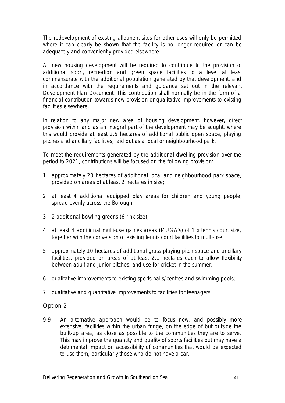*The redevelopment of existing allotment sites for other uses will only be permitted where it can clearly be shown that the facility is no longer required or can be adequately and conveniently provided elsewhere.*

*All new housing development will be required to contribute to the provision of additional sport, recreation and green space facilities to a level at least commensurate with the additional population generated by that development, and in accordance with the requirements and guidance set out in the relevant Development Plan Document. This contribution shall normally be in the form of a financial contribution towards new provision or qualitative improvements to existing facilities elsewhere.* 

*In relation to any major new area of housing development, however, direct provision within and as an integral part of the development may be sought, where this would provide at least 2.5 hectares of additional public open space, playing pitches and ancillary facilities, laid out as a local or neighbourhood park.*

*To meet the requirements generated by the additional dwelling provision over the period to 2021, contributions will be focused on the following provision:*

- *1. approximately 20 hectares of additional local and neighbourhood park space, provided on areas of at least 2 hectares in size;*
- *2. at least 4 additional equipped play areas for children and young people, spread evenly across the Borough;*
- *3. 2 additional bowling greens (6 rink size);*
- *4. at least 4 additional multi-use games areas (MUGA's) of 1 x tennis court size, together with the conversion of existing tennis court facilities to multi-use;*
- *5. approximately 10 hectares of additional grass playing pitch space and ancillary facilities, provided on areas of at least 2.1 hectares each to allow flexibility between adult and junior pitches, and use for cricket in the summer;*
- *6. qualitative improvements to existing sports halls/centres and swimming pools;*
- *7. qualitative and quantitative improvements to facilities for teenagers.*

### Option 2

9.9 An alternative approach would be to focus new, and possibly more extensive, facilities within the urban fringe, on the edge of but outside the built-up area, as close as possible to the communities they are to serve. This may improve the quantity and quality of sports facilities but may have a detrimental impact on accessibility of communities that would be expected to use them, particularly those who do not have a car.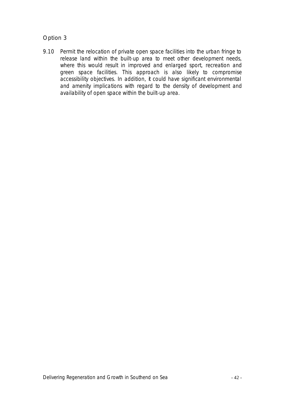### Option 3

9.10 Permit the relocation of private open space facilities into the urban fringe to release land within the built-up area to meet other development needs, where this would result in improved and enlarged sport, recreation and green space facilities. This approach is also likely to compromise accessibility objectives. In addition, it could have significant environmental and amenity implications with regard to the density of development and availability of open space within the built-up area.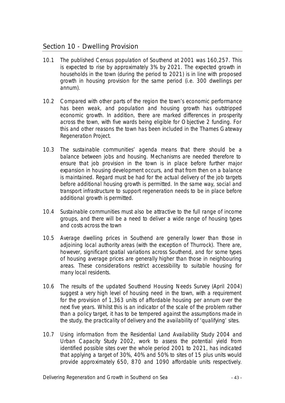# Section 10 - Dwelling Provision

- 10.1 The published Census population of Southend at 2001 was 160,257. This is expected to rise by approximately 3% by 2021. The expected growth in households in the town (during the period to 2021) is in line with proposed growth in housing provision for the same period (i.e. 300 dwellings per annum).
- 10.2 Compared with other parts of the region the town's economic performance has been weak, and population and housing growth has outstripped economic growth. In addition, there are marked differences in prosperity across the town, with five wards being eligible for Objective 2 funding. For this and other reasons the town has been included in the Thames Gateway Regeneration Project.
- 10.3 The sustainable communities' agenda means that there should be a balance between jobs and housing. Mechanisms are needed therefore to ensure that job provision in the town is in place before further major expansion in housing development occurs, and that from then on a balance is maintained. Regard must be had for the actual delivery of the job targets before additional housing growth is permitted. In the same way, social and transport infrastructure to support regeneration needs to be in place before additional growth is permitted.
- 10.4 Sustainable communities must also be attractive to the full range of income groups, and there will be a need to deliver a wide range of housing types and costs across the town
- 10.5 Average dwelling prices in Southend are generally lower than those in adjoining local authority areas (with the exception of Thurrock). There are, however, significant spatial variations across Southend, and for some types of housing average prices are generally higher than those in neighbouring areas. These considerations restrict accessibility to suitable housing for many local residents.
- 10.6 The results of the updated Southend Housing Needs Survey (April 2004) suggest a very high level of housing need in the town, with a requirement for the provision of 1,363 units of affordable housing *per annum* over the next five years. Whilst this is an indicator of the scale of the problem rather than a policy target, it has to be tempered against the assumptions made in the study, the practicality of delivery and the availability of 'qualifying' sites.
- 10.7 Using information from the Residential Land Availability Study 2004 and Urban Capacity Study 2002, work to assess the potential yield from identified possible sites over the whole period 2001 to 2021, has indicated that applying a target of 30%, 40% and 50% to sites of 15 plus units would provide approximately 650, 870 and 1090 affordable units respectively.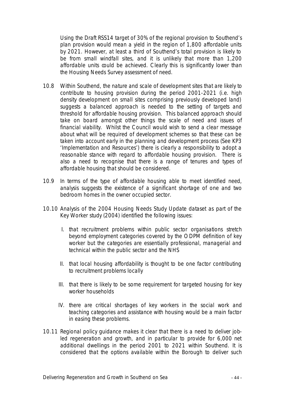Using the Draft RSS14 target of 30% of the regional provision to Southend's plan provision would mean a yield in the region of 1,800 affordable units by 2021. However, at least a third of Southend's total provision is likely to be from small windfall sites, and it is unlikely that more than 1,200 affordable units could be achieved. Clearly this is significantly lower than the Housing Needs Survey assessment of need.

- 10.8 Within Southend, the nature and scale of development sites that are likely to contribute to housing provision during the period 2001-2021 (i.e. high density development on small sites comprising previously developed land) suggests a balanced approach is needed to the setting of targets and threshold for affordable housing provision. This balanced approach should take on board amongst other things the scale of need and issues of financial viability. Whilst the Council would wish to send a clear message about what will be required of development schemes so that these can be taken into account early in the planning and development process (See KP3 'Implementation and Resources') there is clearly a responsibility to adopt a reasonable stance with regard to affordable housing provision. There is also a need to recognise that there is a range of tenures and types of affordable housing that should be considered.
- 10.9 In terms of the type of affordable housing able to meet identified need, analysis suggests the existence of a significant shortage of one and two bedroom homes in the owner occupied sector.
- 10.10 Analysis of the 2004 Housing Needs Study Update dataset as part of the Key Worker study (2004) identified the following issues:
	- I. that recruitment problems within public sector organisations stretch beyond employment categories covered by the ODPM definition of key worker but the categories are essentially professional, managerial and technical within the public sector and the NHS
	- II. that local housing affordability is thought to be one factor contributing to recruitment problems locally
	- III. that there is likely to be some requirement for targeted housing for key worker households
	- IV. there are critical shortages of key workers in the social work and teaching categories and assistance with housing would be a main factor in easing these problems.
- 10.11 Regional policy guidance makes it clear that there is a need to deliver jobled regeneration and growth, and in particular to provide for 6,000 net additional dwellings in the period 2001 to 2021 within Southend. It is considered that the options available within the Borough to deliver such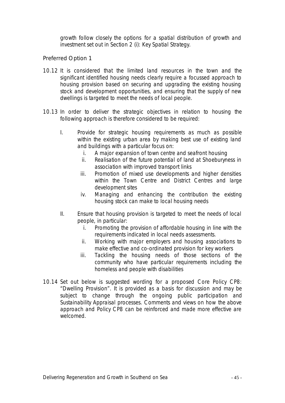growth follow closely the options for a spatial distribution of growth and investment set out in Section 2 (i): Key Spatial Strategy.

Preferred Option 1

- 10.12 It is considered that the limited land resources in the town and the significant identified housing needs clearly require a focussed approach to housing provision based on securing and upgrading the existing housing stock and development opportunities, and ensuring that the supply of new dwellings is targeted to meet the needs of local people.
- 10.13 In order to deliver the strategic objectives in relation to housing the following approach is therefore considered to be required:
	- I. Provide for strategic housing requirements as much as possible within the existing urban area by making best use of existing land and buildings with a particular focus on:
		- i. A major expansion of town centre and seafront housing
		- ii. Realisation of the future potential of land at Shoeburyness in association with improved transport links
		- iii. Promotion of mixed use developments and higher densities within the Town Centre and District Centres and large development sites
		- iv. Managing and enhancing the contribution the existing housing stock can make to local housing needs
	- II. Ensure that housing provision is targeted to meet the needs of local people, in particular:
		- i. Promoting the provision of affordable housing in line with the requirements indicated in local needs assessments.
		- ii. Working with major employers and housing associations to make effective and co-ordinated provision for key workers
		- iii. Tackling the housing needs of those sections of the community who have particular requirements including the homeless and people with disabilities
- 10.14 Set out below is suggested wording for a proposed Core Policy CP8: "Dwelling Provision". It is provided as a basis for discussion and may be subject to change through the ongoing public participation and Sustainability Appraisal processes. Comments and views on how the above approach and Policy CP8 can be reinforced and made more effective are welcomed.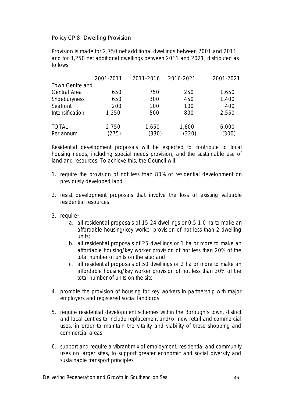*Policy CP 8: Dwelling Provision*

*Provision is made for 2,750 net additional dwellings between 2001 and 2011 and for 3,250 net additional dwellings between 2011 and 2021, distributed as follows:*

|                 | 2001-2011  | 2011-2016 | 2016-2021  | 2001-2021 |
|-----------------|------------|-----------|------------|-----------|
| Town Centre and |            |           |            |           |
| Central Area    | 650        | 750       | <i>250</i> | 1,650     |
| Shoeburyness    | 650        | 300       | 450        | 1,400     |
| Seafront        | <i>200</i> | 100       | 100        | 400       |
| Intensification | 1,250      | 500       | 800        | 2,550     |
| <b>TOTAL</b>    | 2,750      | 1,650     | 1,600      | 6,000     |
| Per annum       | (275)      | (330)     | (320)      | (300)     |

*Residential development proposals will be expected to contribute to local housing needs, including special needs provision, and the sustainable use of land and resources. To achieve this, the Council will:*

- *1. require the provision of not less than 80% of residential development on previously developed land*
- *2. resist development proposals that involve the loss of existing valuable residential resources*
- *3. require<sup>1</sup> :*
	- *a. all residential proposals of 15-24 dwellings or 0.5-1.0 ha to make an affordable housing/key worker provision of not less than 2 dwelling units;*
	- *b. all residential proposals of 25 dwellings or 1 ha or more to make an affordable housing/key worker provision of not less than 20% of the total number of units on the site; and*
	- *c. all residential proposals of 50 dwellings or 2 ha or more to make an affordable housing/key worker provision of not less than 30% of the total number of units on the site*
- *4. promote the provision of housing for key workers in partnership with major employers and registered social landlords*
- *5. require residential development schemes within the Borough's town, district and local centres to include replacement and/or new retail and commercial uses, in order to maintain the vitality and viability of these shopping and commercial areas*
- *6. support and require a vibrant mix of employment, residential and community uses on larger sites, to support greater economic and social diversity and sustainable transport principles*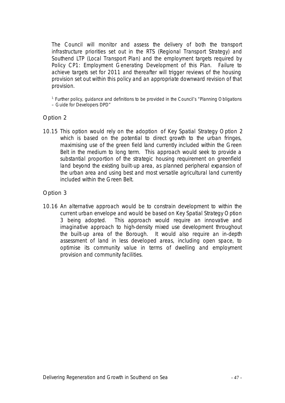*The Council will monitor and assess the delivery of both the transport infrastructure priorities set out in the RTS (Regional Transport Strategy) and Southend LTP (Local Transport Plan) and the employment targets required by Policy CP1: Employment Generating Development of this Plan. Failure to achieve targets set for 2011 and thereafter will trigger reviews of the housing provision set out within this policy and an appropriate downward revision of that provision.*

*1. Further policy, guidance and definitions to be provided in the Council's "Planning Obligations – Guide for Developers DPD"*

Option 2

10.15 This option would rely on the adoption of Key Spatial Strategy Option 2 which is based on the potential to direct growth to the urban fringes, maximising use of the green field land currently included within the Green Belt in the medium to long term. This approach would seek to provide a substantial proportion of the strategic housing requirement on greenfield land beyond the existing built-up area, as planned peripheral expansion of the urban area and using best and most versatile agricultural land currently included within the Green Belt.

### Option 3

10.16 An alternative approach would be to constrain development to within the current urban envelope and would be based on Key Spatial Strategy Option 3 being adopted. This approach would require an innovative and imaginative approach to high-density mixed use development throughout the built-up area of the Borough. It would also require an in-depth assessment of land in less developed areas, including open space, to optimise its community value in terms of dwelling and employment provision and community facilities.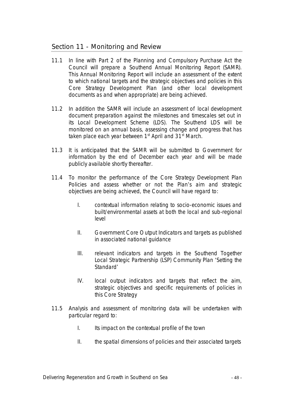# Section 11 - Monitoring and Review

- 11.1 In line with Part 2 of the Planning and Compulsory Purchase Act the Council will prepare a Southend Annual Monitoring Report (SAMR). This Annual Monitoring Report will include an assessment of the extent to which national targets and the strategic objectives and policies in this Core Strategy Development Plan (and other local development documents as and when appropriate) are being achieved.
- 11.2 In addition the SAMR will include an assessment *of* local development document preparation against the milestones and timescales set out in its Local Development Scheme (LDS). The Southend LDS will be monitored on an annual basis, assessing change and progress that has taken place each year between  $1<sup>st</sup>$  April and  $31<sup>st</sup>$  March.
- 11.3 It is anticipated that the SAMR will be submitted to Government for information by the end of December each year and will be made publicly available shortly thereafter.
- 11.4 To monitor the performance of the Core Strategy Development Plan Policies and assess whether or not the Plan's aim and strategic objectives are being achieved, the Council will have regard to:
	- I. contextual information relating to socio-economic issues and built/environmental assets at both the local and sub-regional level
	- II. Government Core Output Indicators and targets as published in associated national guidance
	- III. relevant indicators and targets in the Southend Together Local Strategic Partnership (LSP) Community Plan 'Setting the Standard'
	- IV. local output indicators and targets that reflect the aim, strategic objectives and specific requirements of policies in this Core Strategy
- 11.5 Analysis and assessment of monitoring data will be undertaken with particular regard to:
	- I. Its impact on the contextual profile of the town
	- II. the spatial dimensions of policies and their associated targets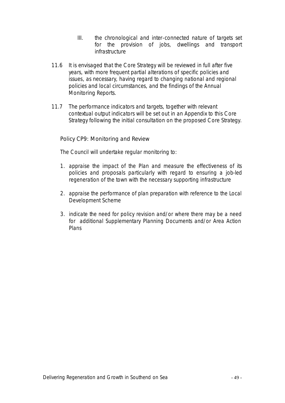- III. the chronological and inter-connected nature of targets set for the provision of jobs, dwellings and transport infrastructure
- 11.6 It is envisaged that the Core Strategy will be reviewed in full after five years, with more frequent partial alterations of specific policies and issues, as necessary, having regard to changing national and regional policies and local circumstances, and the findings of the Annual Monitoring Reports.
- 11.7 The performance indicators and targets, together with relevant contextual output indicators will be set out in an Appendix to this Core Strategy following the initial consultation on the proposed Core Strategy.

### *Policy CP9: Monitoring and Review*

*The Council will undertake regular monitoring to:*

- *1. appraise the impact of the Plan and measure the effectiveness of its policies and proposals particularly with regard to ensuring a job-led regeneration of the town with the necessary supporting infrastructure*
- *2. appraise the performance of plan preparation with reference to the Local Development Scheme*
- 3. *indicate the need for policy revision and/or where there may be a need for additional Supplementary Planning Documents and/or Area Action Plans*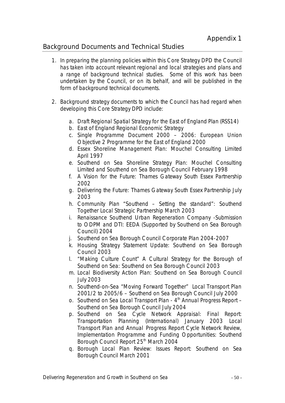# Background Documents and Technical Studies

- 1. In preparing the planning policies within this Core Strategy DPD the Council has taken into account relevant regional and local strategies and plans and a range of background technical studies. Some of this work has been undertaken by the Council, or on its behalf, and will be published in the form of background technical documents.
- 2. Background strategy documents to which the Council has had regard when developing this Core Strategy DPD include:
	- a. Draft Regional Spatial Strategy for the East of England Plan (RSS14)
	- b. East of England Regional Economic Strategy
	- c. Single Programme Document 2000 2006: European Union Objective 2 Programme for the East of England 2000
	- d. Essex Shoreline Management Plan: Mouchel Consulting Limited April 1997
	- e. Southend on Sea Shoreline Strategy Plan: Mouchel Consulting Limited and Southend on Sea Borough Council February 1998
	- f. A Vision for the Future: Thames Gateway South Essex Partnership 2002
	- g. Delivering the Future: Thames Gateway South Essex Partnership July 2003
	- h. Community Plan "Southend Setting the standard": Southend Together Local Strategic Partnership March 2003
	- i. Renaissance Southend Urban Regeneration Company -Submission to ODPM and DTI: EEDA (Supported by Southend on Sea Borough Council) 2004
	- j. Southend on Sea Borough Council Corporate Plan 2004-2007
	- k. Housing Strategy Statement Update: Southend on Sea Borough Council 2003
	- l. "Making Culture Count" A Cultural Strategy for the Borough of Southend on Sea: Southend on Sea Borough Council 2003
	- m. Local Biodiversity Action Plan: Southend on Sea Borough Council July 2003
	- n. Southend-on-Sea "Moving Forward Together" Local Transport Plan 2001/2 to 2005/6 – Southend on Sea Borough Council July 2000
	- o. Southend on Sea Local Transport Plan 4<sup>th</sup> Annual Progress Report Southend on Sea Borough Council July 2004
	- p. Southend on Sea Cycle Network Appraisal: Final Report: Transportation Planning (International) January 2003 Local Transport Plan and Annual Progress Report Cycle Network Review, Implementation Programme and Funding Opportunities: Southend Borough Council Report 25<sup>th</sup> March 2004
	- q. Borough Local Plan Review: Issues Report: Southend on Sea Borough Council March 2001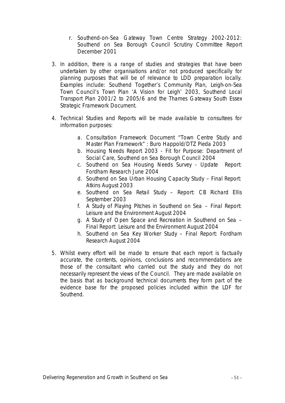- r. Southend-on-Sea Gateway Town Centre Strategy 2002-2012: Southend on Sea Borough Council Scrutiny Committee Report December 2001
- 3. In addition, there is a range of studies and strategies that have been undertaken by other organisations and/or not produced specifically for planning purposes that will be of relevance to LDD preparation locally. Examples include: Southend Together's Community Plan, Leigh-on-Sea Town Council's Town Plan 'A Vision for Leigh' 2003, Southend Local Transport Plan 2001/2 to 2005/6 and the Thames Gateway South Essex Strategic Framework Document.
- 4. Technical Studies and Reports will be made available to consultees for information purposes:
	- a. Consultation Framework Document "Town Centre Study and Master Plan Framework" : Buro Happold/DTZ Pieda 2003
	- b. Housing Needs Report 2003 Fit for Purpose: Department of Social Care, Southend on Sea Borough Council 2004
	- c. Southend on Sea Housing Needs Survey Update Report: Fordham Research June 2004
	- d. Southend on Sea Urban Housing Capacity Study Final Report: Atkins August 2003
	- e. Southend on Sea Retail Study Report: CB Richard Ellis September 2003
	- f. A Study of Playing Pitches in Southend on Sea Final Report: Leisure and the Environment August 2004
	- g. A Study of Open Space and Recreation in Southend on Sea Final Report: Leisure and the Environment August 2004
	- h. Southend on Sea Key Worker Study Final Report: Fordham Research August 2004
- *5.* Whilst every effort will be made to ensure that each report is factually accurate, the contents, opinions, conclusions and recommendations are those of the consultant who carried out the study and they do not necessarily represent the views of the Council. They are made available on the basis that as background technical documents they form part of the evidence base for the proposed policies included within the LDF for Southend.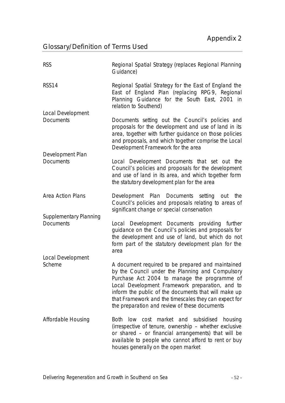# Glossary/Definition of Terms Used

| <b>RSS</b>                                        | Regional Spatial Strategy (replaces Regional Planning<br>Guidance)                                                                                                                                                                                                                                                                                                         |
|---------------------------------------------------|----------------------------------------------------------------------------------------------------------------------------------------------------------------------------------------------------------------------------------------------------------------------------------------------------------------------------------------------------------------------------|
| <b>RSS14</b>                                      | Regional Spatial Strategy for the East of England the<br>East of England Plan (replacing RPG9, Regional<br>Planning Guidance for the South East, 2001 in<br>relation to Southend)                                                                                                                                                                                          |
| Local Development<br><b>Documents</b>             | Documents setting out the Council's policies and<br>proposals for the development and use of land in its<br>area, together with further guidance on those policies<br>and proposals, and which together comprise the Local<br>Development Framework for the area                                                                                                           |
| Development Plan<br><b>Documents</b>              | Local Development Documents that set out the<br>Council's policies and proposals for the development<br>and use of land in its area, and which together form<br>the statutory development plan for the area                                                                                                                                                                |
| Area Action Plans                                 | Development Plan Documents setting out the<br>Council's policies and proposals relating to areas of<br>significant change or special conservation                                                                                                                                                                                                                          |
| <b>Supplementary Planning</b><br><b>Documents</b> | Local Development Documents providing further<br>guidance on the Council's policies and proposals for<br>the development and use of land, but which do not<br>form part of the statutory development plan for the<br>area                                                                                                                                                  |
| Local Development                                 |                                                                                                                                                                                                                                                                                                                                                                            |
| Scheme                                            | A document required to be prepared and maintained<br>by the Council under the Planning and Compulsory<br>Purchase Act 2004 to manage the programme of<br>Local Development Framework preparation, and to<br>inform the public of the documents that will make up<br>that Framework and the timescales they can expect for<br>the preparation and review of these documents |
| Affordable Housing                                | cost market and subsidised housing<br>Both<br>low<br>(irrespective of tenure, ownership - whether exclusive<br>or shared - or financial arrangements) that will be<br>available to people who cannot afford to rent or buy<br>houses generally on the open market                                                                                                          |